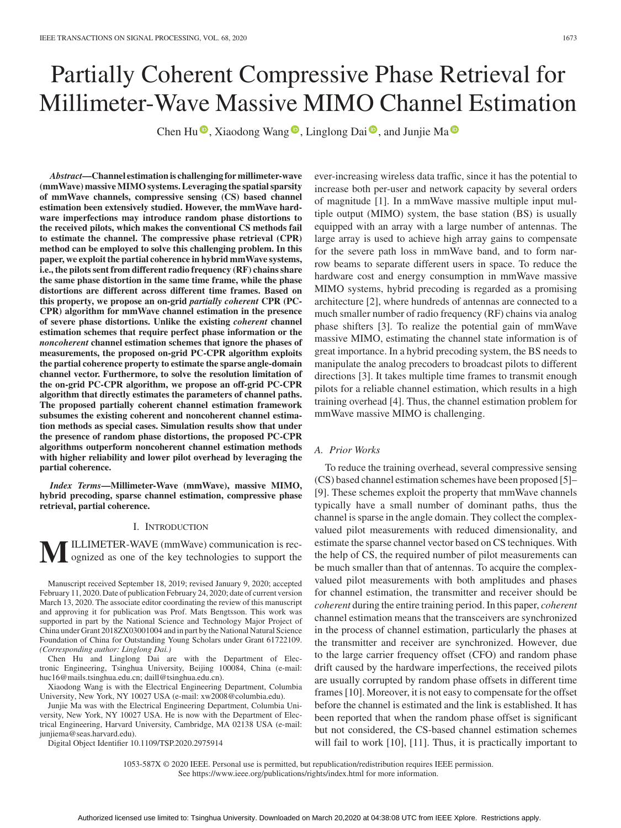# Partially Coherent Compressive Phase Retrieval for Millimeter-Wave Massive MIMO Channel Estimation

Chen Hu<sup>(a)</sup>[,](https://orcid.org/0000-0002-4250-7315) Xiaodong Wang<sup>(a)</sup>, Linglong Dai<sup>(a)</sup>, and Junjie Ma<sup>(a)</sup>

*Abstract***—Channel estimation is challenging for millimeter-wave (mmWave) massiveMIMO systems. Leveraging the spatial sparsity of mmWave channels, compressive sensing (CS) based channel estimation been extensively studied. However, the mmWave hardware imperfections may introduce random phase distortions to the received pilots, which makes the conventional CS methods fail to estimate the channel. The compressive phase retrieval (CPR) method can be employed to solve this challenging problem. In this paper, we exploit the partial coherence in hybrid mmWave systems, i.e., the pilots sent from different radio frequency (RF) chains share the same phase distortion in the same time frame, while the phase distortions are different across different time frames. Based on this property, we propose an on-grid** *partially coherent* **CPR (PC-CPR) algorithm for mmWave channel estimation in the presence of severe phase distortions. Unlike the existing** *coherent* **channel estimation schemes that require perfect phase information or the** *noncoherent* **channel estimation schemes that ignore the phases of measurements, the proposed on-grid PC-CPR algorithm exploits the partial coherence property to estimate the sparse angle-domain channel vector. Furthermore, to solve the resolution limitation of the on-grid PC-CPR algorithm, we propose an off-grid PC-CPR algorithm that directly estimates the parameters of channel paths. The proposed partially coherent channel estimation framework subsumes the existing coherent and noncoherent channel estimation methods as special cases. Simulation results show that under the presence of random phase distortions, the proposed PC-CPR algorithms outperform noncoherent channel estimation methods with higher reliability and lower pilot overhead by leveraging the partial coherence.**

*Index Terms***—Millimeter-Wave (mmWave), massive MIMO, hybrid precoding, sparse channel estimation, compressive phase retrieval, partial coherence.**

#### I. INTRODUCTION

**ILLIMETER-WAVE (mmWave) communication is rec**ognized as one of the key technologies to support the

Manuscript received September 18, 2019; revised January 9, 2020; accepted February 11, 2020. Date of publication February 24, 2020; date of current version March 13, 2020. The associate editor coordinating the review of this manuscript and approving it for publication was Prof. Mats Bengtsson. This work was supported in part by the National Science and Technology Major Project of China under Grant 2018ZX03001004 and in part by the National Natural Science Foundation of China for Outstanding Young Scholars under Grant 61722109. *(Corresponding author: Linglong Dai.)*

Chen Hu and Linglong Dai are with the Department of Electronic Engineering, Tsinghua University, Beijing 100084, China (e-mail: [huc16@mails.tsinghua.edu.cn;](mailto:huc16@mails.tsinghua.edu.cn) [daill@tsinghua.edu.cn\)](mailto:daill@tsinghua.edu.cn).

Xiaodong Wang is with the Electrical Engineering Department, Columbia University, New York, NY 10027 USA (e-mail: [xw2008@columbia.edu\)](mailto:xw2008@columbia.edu).

Junjie Ma was with the Electrical Engineering Department, Columbia University, New York, NY 10027 USA. He is now with the Department of Electrical Engineering, Harvard University, Cambridge, MA 02138 USA (e-mail: [junjiema@seas.harvard.edu\)](mailto:junjiema@seas.harvard.edu).

Digital Object Identifier 10.1109/TSP.2020.2975914

ever-increasing wireless data traffic, since it has the potential to increase both per-user and network capacity by several orders of magnitude [1]. In a mmWave massive multiple input multiple output (MIMO) system, the base station (BS) is usually equipped with an array with a large number of antennas. The large array is used to achieve high array gains to compensate for the severe path loss in mmWave band, and to form narrow beams to separate different users in space. To reduce the hardware cost and energy consumption in mmWave massive MIMO systems, hybrid precoding is regarded as a promising architecture [2], where hundreds of antennas are connected to a much smaller number of radio frequency (RF) chains via analog phase shifters [3]. To realize the potential gain of mmWave massive MIMO, estimating the channel state information is of great importance. In a hybrid precoding system, the BS needs to manipulate the analog precoders to broadcast pilots to different directions [3]. It takes multiple time frames to transmit enough pilots for a reliable channel estimation, which results in a high training overhead [4]. Thus, the channel estimation problem for mmWave massive MIMO is challenging.

# *A. Prior Works*

To reduce the training overhead, several compressive sensing (CS) based channel estimation schemes have been proposed [5]– [9]. These schemes exploit the property that mmWave channels typically have a small number of dominant paths, thus the channel is sparse in the angle domain. They collect the complexvalued pilot measurements with reduced dimensionality, and estimate the sparse channel vector based on CS techniques. With the help of CS, the required number of pilot measurements can be much smaller than that of antennas. To acquire the complexvalued pilot measurements with both amplitudes and phases for channel estimation, the transmitter and receiver should be *coherent* during the entire training period. In this paper, *coherent* channel estimation means that the transceivers are synchronized in the process of channel estimation, particularly the phases at the transmitter and receiver are synchronized. However, due to the large carrier frequency offset (CFO) and random phase drift caused by the hardware imperfections, the received pilots are usually corrupted by random phase offsets in different time frames [10]. Moreover, it is not easy to compensate for the offset before the channel is estimated and the link is established. It has been reported that when the random phase offset is significant but not considered, the CS-based channel estimation schemes will fail to work [10], [11]. Thus, it is practically important to

1053-587X © 2020 IEEE. Personal use is permitted, but republication/redistribution requires IEEE permission. See https://www.ieee.org/publications/rights/index.html for more information.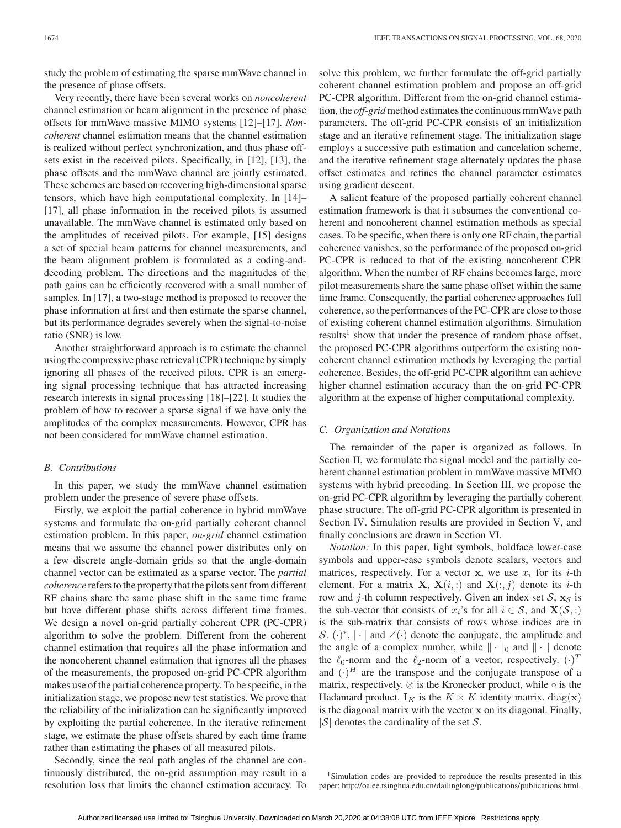study the problem of estimating the sparse mmWave channel in the presence of phase offsets.

Very recently, there have been several works on *noncoherent* channel estimation or beam alignment in the presence of phase offsets for mmWave massive MIMO systems [12]–[17]. *Noncoherent* channel estimation means that the channel estimation is realized without perfect synchronization, and thus phase offsets exist in the received pilots. Specifically, in [12], [13], the phase offsets and the mmWave channel are jointly estimated. These schemes are based on recovering high-dimensional sparse tensors, which have high computational complexity. In [14]– [17], all phase information in the received pilots is assumed unavailable. The mmWave channel is estimated only based on the amplitudes of received pilots. For example, [15] designs a set of special beam patterns for channel measurements, and the beam alignment problem is formulated as a coding-anddecoding problem. The directions and the magnitudes of the path gains can be efficiently recovered with a small number of samples. In [17], a two-stage method is proposed to recover the phase information at first and then estimate the sparse channel, but its performance degrades severely when the signal-to-noise ratio (SNR) is low.

Another straightforward approach is to estimate the channel using the compressive phase retrieval (CPR) technique by simply ignoring all phases of the received pilots. CPR is an emerging signal processing technique that has attracted increasing research interests in signal processing [18]–[22]. It studies the problem of how to recover a sparse signal if we have only the amplitudes of the complex measurements. However, CPR has not been considered for mmWave channel estimation.

#### *B. Contributions*

In this paper, we study the mmWave channel estimation problem under the presence of severe phase offsets.

Firstly, we exploit the partial coherence in hybrid mmWave systems and formulate the on-grid partially coherent channel estimation problem. In this paper, *on-grid* channel estimation means that we assume the channel power distributes only on a few discrete angle-domain grids so that the angle-domain channel vector can be estimated as a sparse vector. The *partial coherence* refers to the property that the pilots sent from different RF chains share the same phase shift in the same time frame but have different phase shifts across different time frames. We design a novel on-grid partially coherent CPR (PC-CPR) algorithm to solve the problem. Different from the coherent channel estimation that requires all the phase information and the noncoherent channel estimation that ignores all the phases of the measurements, the proposed on-grid PC-CPR algorithm makes use of the partial coherence property. To be specific, in the initialization stage, we propose new test statistics. We prove that the reliability of the initialization can be significantly improved by exploiting the partial coherence. In the iterative refinement stage, we estimate the phase offsets shared by each time frame rather than estimating the phases of all measured pilots.

Secondly, since the real path angles of the channel are continuously distributed, the on-grid assumption may result in a resolution loss that limits the channel estimation accuracy. To

solve this problem, we further formulate the off-grid partially coherent channel estimation problem and propose an off-grid PC-CPR algorithm. Different from the on-grid channel estimation, the *off-grid* method estimates the continuous mmWave path parameters. The off-grid PC-CPR consists of an initialization stage and an iterative refinement stage. The initialization stage employs a successive path estimation and cancelation scheme, and the iterative refinement stage alternately updates the phase offset estimates and refines the channel parameter estimates using gradient descent.

A salient feature of the proposed partially coherent channel estimation framework is that it subsumes the conventional coherent and noncoherent channel estimation methods as special cases. To be specific, when there is only one RF chain, the partial coherence vanishes, so the performance of the proposed on-grid PC-CPR is reduced to that of the existing noncoherent CPR algorithm. When the number of RF chains becomes large, more pilot measurements share the same phase offset within the same time frame. Consequently, the partial coherence approaches full coherence, so the performances of the PC-CPR are close to those of existing coherent channel estimation algorithms. Simulation results<sup>1</sup> show that under the presence of random phase offset, the proposed PC-CPR algorithms outperform the existing noncoherent channel estimation methods by leveraging the partial coherence. Besides, the off-grid PC-CPR algorithm can achieve higher channel estimation accuracy than the on-grid PC-CPR algorithm at the expense of higher computational complexity.

#### *C. Organization and Notations*

The remainder of the paper is organized as follows. In Section II, we formulate the signal model and the partially coherent channel estimation problem in mmWave massive MIMO systems with hybrid precoding. In Section III, we propose the on-grid PC-CPR algorithm by leveraging the partially coherent phase structure. The off-grid PC-CPR algorithm is presented in Section IV. Simulation results are provided in Section V, and finally conclusions are drawn in Section VI.

*Notation:* In this paper, light symbols, boldface lower-case symbols and upper-case symbols denote scalars, vectors and matrices, respectively. For a vector **x**, we use  $x_i$  for its *i*-th element. For a matrix **X**,  $X(i,:)$  and  $X(:,j)$  denote its *i*-th row and j-th column respectively. Given an index set  $S$ ,  $\mathbf{x}_{\mathcal{S}}$  is the sub-vector that consists of  $x_i$ 's for all  $i \in S$ , and  $X(S, :)$ is the sub-matrix that consists of rows whose indices are in S.  $(\cdot)^*$ ,  $|\cdot|$  and  $\angle(\cdot)$  denote the conjugate, the amplitude and the angle of a complex number, while  $\|\cdot\|_0$  and  $\|\cdot\|$  denote the  $\ell_0$ -norm and the  $\ell_2$ -norm of a vector, respectively.  $(\cdot)^T$ and  $(\cdot)^H$  are the transpose and the conjugate transpose of a matrix, respectively.  $\otimes$  is the Kronecker product, while  $\circ$  is the Hadamard product.  $\mathbf{I}_K$  is the  $K \times K$  identity matrix. diag(**x**) is the diagonal matrix with the vector **x** on its diagonal. Finally,  $|S|$  denotes the cardinality of the set S.

<sup>1</sup>Simulation codes are provided to reproduce the results presented in this paper: [http://oa.ee.tsinghua.edu.cn/dailinglong/publications/publications.html.](http://oa.ee.tsinghua.edu.cn/dailinglong/publications/publications.html)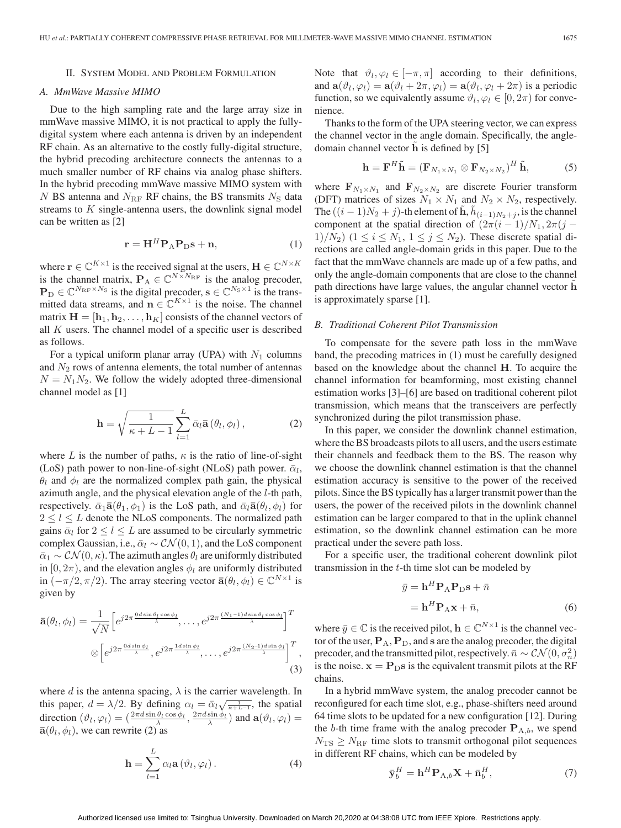#### II. SYSTEM MODEL AND PROBLEM FORMULATION

#### *A. MmWave Massive MIMO*

Due to the high sampling rate and the large array size in mmWave massive MIMO, it is not practical to apply the fullydigital system where each antenna is driven by an independent RF chain. As an alternative to the costly fully-digital structure, the hybrid precoding architecture connects the antennas to a much smaller number of RF chains via analog phase shifters. In the hybrid precoding mmWave massive MIMO system with N BS antenna and  $N_{\text{RF}}$  RF chains, the BS transmits  $N_{\text{S}}$  data streams to  $K$  single-antenna users, the downlink signal model can be written as [2]

$$
\mathbf{r} = \mathbf{H}^H \mathbf{P}_A \mathbf{P}_D \mathbf{s} + \mathbf{n},\tag{1}
$$

where  $\mathbf{r} \in \mathbb{C}^{K \times 1}$  is the received signal at the users,  $\mathbf{H} \in \mathbb{C}^{N \times K}$ is the channel matrix,  $\mathbf{P}_{A} \in \mathbb{C}^{N \times N_{RF}}$  is the analog precoder,  $\mathbf{P}_{\text{D}} \in \mathbb{C}^{N_{\text{RF}} \times N_{\text{S}}}$  is the digital precoder,  $\mathbf{s} \in \mathbb{C}^{N_{\text{S}} \times 1}$  is the transmitted data streams, and **n**  $\in \mathbb{C}^{K \times 1}$  is the noise. The channel matrix  $\mathbf{H} = [\mathbf{h}_1, \mathbf{h}_2, \dots, \mathbf{h}_K]$  consists of the channel vectors of all  $K$  users. The channel model of a specific user is described as follows.

For a typical uniform planar array (UPA) with  $N_1$  columns and  $N_2$  rows of antenna elements, the total number of antennas  $N = N_1N_2$ . We follow the widely adopted three-dimensional channel model as [1]

$$
\mathbf{h} = \sqrt{\frac{1}{\kappa + L - 1}} \sum_{l=1}^{L} \bar{\alpha}_{l} \mathbf{\bar{a}}\left(\theta_{l}, \phi_{l}\right), \tag{2}
$$

where L is the number of paths,  $\kappa$  is the ratio of line-of-sight (LoS) path power to non-line-of-sight (NLoS) path power.  $\bar{\alpha}_l$ ,  $\theta_l$  and  $\phi_l$  are the normalized complex path gain, the physical azimuth angle, and the physical elevation angle of the l-th path, respectively.  $\bar{\alpha}_1 \bar{\mathbf{a}}(\theta_1, \phi_1)$  is the LoS path, and  $\bar{\alpha}_l \bar{\mathbf{a}}(\theta_l, \phi_l)$  for  $2 \leq l \leq L$  denote the NLoS components. The normalized path gains  $\bar{\alpha}_l$  for  $2 \leq l \leq L$  are assumed to be circularly symmetric complex Gaussian, i.e.,  $\bar{\alpha}_l \sim \mathcal{CN}(0, 1)$ , and the LoS component  $\bar{\alpha}_1 \sim \mathcal{CN}(0,\kappa)$ . The azimuth angles  $\theta_l$  are uniformly distributed in [0,  $2\pi$ ), and the elevation angles  $\phi_l$  are uniformly distributed in  $(-\pi/2, \pi/2)$ . The array steering vector  $\bar{\mathbf{a}}(\theta_l, \phi_l) \in \mathbb{C}^{N \times 1}$  is given by

$$
\overline{\mathbf{a}}(\theta_l, \phi_l) = \frac{1}{\sqrt{N}} \left[ e^{j2\pi \frac{0d\sin\theta_l \cos\phi_l}{\lambda}}, \dots, e^{j2\pi \frac{(N_1 - 1)d\sin\theta_l \cos\phi_l}{\lambda}} \right]^T
$$

$$
\otimes \left[ e^{j2\pi \frac{0d\sin\phi_l}{\lambda}}, e^{j2\pi \frac{1d\sin\phi_l}{\lambda}}, \dots, e^{j2\pi \frac{(N_2 - 1)d\sin\phi_l}{\lambda}} \right]^T,
$$
\n(3)

where d is the antenna spacing,  $\lambda$  is the carrier wavelength. In this paper,  $d = \lambda/2$ . By defining  $\alpha_l = \bar{\alpha}_l \sqrt{\frac{l}{\kappa + L-1}}$ , the spatial direction  $(\vartheta_l, \varphi_l) = \left(\frac{2\pi d \sin \theta_l \cos \phi_l}{\lambda}, \frac{2\pi d \sin \phi_l}{\lambda}\right)$  and  $\mathbf{a}(\vartheta_l, \varphi_l) =$  $\bar{\mathbf{a}}(\theta_l, \phi_l)$ , we can rewrite (2) as

$$
\mathbf{h} = \sum_{l=1}^{L} \alpha_l \mathbf{a} \left( \vartheta_l, \varphi_l \right). \tag{4}
$$

Note that  $\vartheta_l, \varphi_l \in [-\pi, \pi]$  according to their definitions, and  $\mathbf{a}(\vartheta_l, \varphi_l) = \mathbf{a}(\vartheta_l + 2\pi, \varphi_l) = \mathbf{a}(\vartheta_l, \varphi_l + 2\pi)$  is a periodic function, so we equivalently assume  $\vartheta_l, \varphi_l \in [0, 2\pi)$  for convenience.

Thanks to the form of the UPA steering vector, we can express the channel vector in the angle domain. Specifically, the angledomain channel vector **h** is defined by [5]

$$
\mathbf{h} = \mathbf{F}^H \tilde{\mathbf{h}} = \left(\mathbf{F}_{N_1 \times N_1} \otimes \mathbf{F}_{N_2 \times N_2}\right)^H \tilde{\mathbf{h}},\tag{5}
$$

where  $\mathbf{F}_{N_1 \times N_1}$  and  $\mathbf{F}_{N_2 \times N_2}$  are discrete Fourier transform (DFT) matrices of sizes  $N_1 \times N_1$  and  $N_2 \times N_2$ , respectively. The  $((i-1)N_2 + j)$ -th element of **h**,  $h_{(i-1)N_2+j}$ , is the channel component at the spatial direction of  $(2\pi(i - 1)/N_1, 2\pi(j -$ 1)/ $N_2$ ) (1  $\leq i \leq N_1$ , 1  $\leq j \leq N_2$ ). These discrete spatial directions are called angle-domain grids in this paper. Due to the fact that the mmWave channels are made up of a few paths, and only the angle-domain components that are close to the channel path directions have large values, the angular channel vector **h** is approximately sparse [1].

#### *B. Traditional Coherent Pilot Transmission*

To compensate for the severe path loss in the mmWave band, the precoding matrices in (1) must be carefully designed based on the knowledge about the channel **H**. To acquire the channel information for beamforming, most existing channel estimation works [3]–[6] are based on traditional coherent pilot transmission, which means that the transceivers are perfectly synchronized during the pilot transmission phase.

In this paper, we consider the downlink channel estimation, where the BS broadcasts pilots to all users, and the users estimate their channels and feedback them to the BS. The reason why we choose the downlink channel estimation is that the channel estimation accuracy is sensitive to the power of the received pilots. Since the BS typically has a larger transmit power than the users, the power of the received pilots in the downlink channel estimation can be larger compared to that in the uplink channel estimation, so the downlink channel estimation can be more practical under the severe path loss.

For a specific user, the traditional coherent downlink pilot transmission in the  $t$ -th time slot can be modeled by

$$
\bar{y} = \mathbf{h}^H \mathbf{P}_A \mathbf{P}_D \mathbf{s} + \bar{n}
$$

$$
= \mathbf{h}^H \mathbf{P}_A \mathbf{x} + \bar{n}, \tag{6}
$$

where  $\bar{y} \in \mathbb{C}$  is the received pilot,  $\mathbf{h} \in \mathbb{C}^{N \times 1}$  is the channel vector of the user,  $P_A$ ,  $P_D$ , and  $s$  are the analog precoder, the digital precoder, and the transmitted pilot, respectively.  $\bar{n} \sim \mathcal{CN}(0, \sigma_n^2)$ is the noise.  $\mathbf{x} = \mathbf{P}_D \mathbf{s}$  is the equivalent transmit pilots at the RF chains.

In a hybrid mmWave system, the analog precoder cannot be reconfigured for each time slot, e.g., phase-shifters need around 64 time slots to be updated for a new configuration [12]. During the b-th time frame with the analog precoder  $P_{A,b}$ , we spend  $N_{\text{TS}} \geq N_{\text{RF}}$  time slots to transmit orthogonal pilot sequences in different RF chains, which can be modeled by

$$
\bar{\mathbf{y}}_b^H = \mathbf{h}^H \mathbf{P}_{A,b} \mathbf{X} + \bar{\mathbf{n}}_b^H, \tag{7}
$$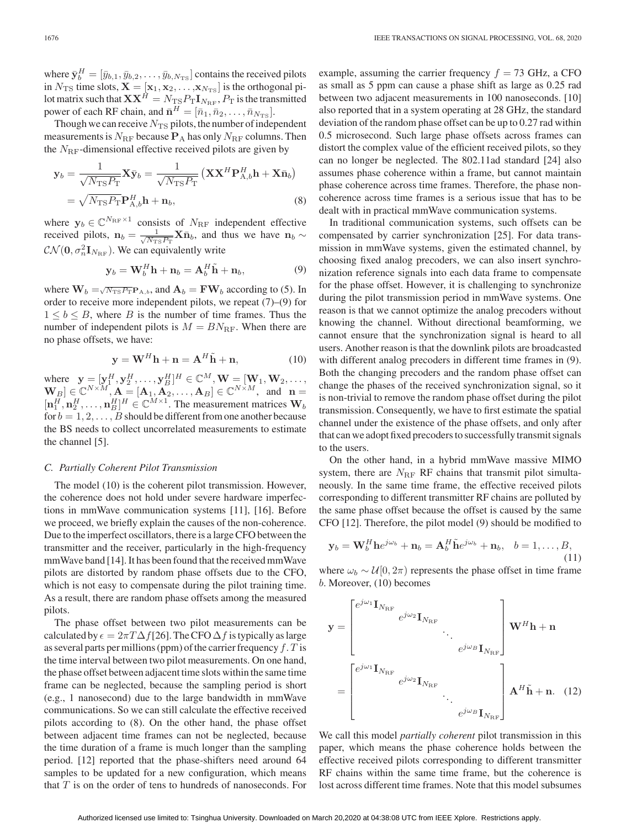where  $\bar{\mathbf{y}}_b^H = [\bar{y}_{b,1}, \bar{y}_{b,2}, \dots, \bar{y}_{b,N_{\text{TS}}} ]$  contains the received pilots in  $N_{\text{TS}}$  time slots,  $\mathbf{X} = [\mathbf{x}_1, \mathbf{x}_2, \dots, \mathbf{x}_{N_{\text{TS}}} ]$  is the orthogonal pilot matrix such that  $\mathbf{X}\mathbf{X}^H = N_{\text{TS}}P_{\text{T}}\mathbf{I}_{N_{\text{RF}}}$ ,  $P_{\text{T}}$  is the transmitted power of each RF chain, and  $\bar{\mathbf{n}}^H = [\bar{n}_1, \bar{n}_2, \dots, \bar{n}_{N_{TS}}].$ 

Though we can receive  $N_{\text{TS}}$  pilots, the number of independent measurements is  $N_{\text{RF}}$  because  $P_A$  has only  $N_{\text{RF}}$  columns. Then the  $N_{\text{RF}}$ -dimensional effective received pilots are given by

$$
\mathbf{y}_b = \frac{1}{\sqrt{N_{\text{TS}} P_{\text{T}}}} \mathbf{X} \bar{\mathbf{y}}_b = \frac{1}{\sqrt{N_{\text{TS}} P_{\text{T}}}} \left( \mathbf{X} \mathbf{X}^H \mathbf{P}_{\text{A},b}^H \mathbf{h} + \mathbf{X} \bar{\mathbf{n}}_b \right)
$$

$$
= \sqrt{N_{\text{TS}} P_{\text{T}} } \mathbf{P}_{\text{A},b}^H \mathbf{h} + \mathbf{n}_b,
$$
(8)

where  $y_b \in \mathbb{C}^{N_{\text{RF}} \times 1}$  consists of  $N_{\text{RF}}$  independent effective received pilots,  $\mathbf{n}_b = \frac{1}{\sqrt{N_{\text{TS}} P_{\text{T}}}} \mathbf{X} \bar{\mathbf{n}}_b$ , and thus we have  $\mathbf{n}_b \sim$  $\mathcal{CN}(\mathbf{0}, \sigma_n^2 \mathbf{I}_{N_{\text{RF}}})$ . We can equivalently write

$$
\mathbf{y}_b = \mathbf{W}_b^H \mathbf{h} + \mathbf{n}_b = \mathbf{A}_b^H \tilde{\mathbf{h}} + \mathbf{n}_b, \tag{9}
$$

where  $W_b = \sqrt{N_{TS}P_T}P_{A,b}$ , and  $A_b = FW_b$  according to (5). In order to receive more independent pilots, we repeat (7)–(9) for  $1 \leq b \leq B$ , where B is the number of time frames. Thus the number of independent pilots is  $M = BN_{\text{RF}}$ . When there are no phase offsets, we have:

$$
\mathbf{y} = \mathbf{W}^H \mathbf{h} + \mathbf{n} = \mathbf{A}^H \tilde{\mathbf{h}} + \mathbf{n},\tag{10}
$$

where  $\mathbf{y} = [\mathbf{y}_1^H, \mathbf{y}_2^H, \dots, \mathbf{y}_B^H]^H \in \mathbb{C}^M, \mathbf{W} = [\mathbf{W}_1, \mathbf{W}_2, \dots, \mathbf{W}_B^H]^H$  $[\mathbf{W}_B] \in \mathbb{C}^{N \times M}$ ,  $\mathbf{A} = [\mathbf{A}_1, \mathbf{A}_2, \dots, \mathbf{A}_B] \in \mathbb{C}^{N \times M}$ , and  $\mathbf{n} =$  $[\mathbf{n}_1^H, \mathbf{n}_2^H, \dots, \mathbf{n}_B^H]^H \in \mathbb{C}^{\tilde{M} \times 1}$ . The measurement matrices  $\mathbf{W}_b$ for  $b = 1, 2, \ldots, B$  should be different from one another because the BS needs to collect uncorrelated measurements to estimate the channel [5].

#### *C. Partially Coherent Pilot Transmission*

The model (10) is the coherent pilot transmission. However, the coherence does not hold under severe hardware imperfections in mmWave communication systems [11], [16]. Before we proceed, we briefly explain the causes of the non-coherence. Due to the imperfect oscillators, there is a large CFO between the transmitter and the receiver, particularly in the high-frequency mmWave band [14]. It has been found that the received mmWave pilots are distorted by random phase offsets due to the CFO, which is not easy to compensate during the pilot training time. As a result, there are random phase offsets among the measured pilots.

The phase offset between two pilot measurements can be calculated by  $\epsilon = 2\pi T \Delta f$  [26]. The CFO  $\Delta f$  is typically as large as several parts per millions (ppm) of the carrier frequency  $f$ . T is the time interval between two pilot measurements. On one hand, the phase offset between adjacent time slots within the same time frame can be neglected, because the sampling period is short (e.g., 1 nanosecond) due to the large bandwidth in mmWave communications. So we can still calculate the effective received pilots according to (8). On the other hand, the phase offset between adjacent time frames can not be neglected, because the time duration of a frame is much longer than the sampling period. [12] reported that the phase-shifters need around 64 samples to be updated for a new configuration, which means that T is on the order of tens to hundreds of nanoseconds. For

example, assuming the carrier frequency  $f = 73$  GHz, a CFO as small as 5 ppm can cause a phase shift as large as 0.25 rad between two adjacent measurements in 100 nanoseconds. [10] also reported that in a system operating at 28 GHz, the standard deviation of the random phase offset can be up to 0.27 rad within 0.5 microsecond. Such large phase offsets across frames can distort the complex value of the efficient received pilots, so they can no longer be neglected. The 802.11ad standard [24] also assumes phase coherence within a frame, but cannot maintain phase coherence across time frames. Therefore, the phase noncoherence across time frames is a serious issue that has to be dealt with in practical mmWave communication systems.

In traditional communication systems, such offsets can be compensated by carrier synchronization [25]. For data transmission in mmWave systems, given the estimated channel, by choosing fixed analog precoders, we can also insert synchronization reference signals into each data frame to compensate for the phase offset. However, it is challenging to synchronize during the pilot transmission period in mmWave systems. One reason is that we cannot optimize the analog precoders without knowing the channel. Without directional beamforming, we cannot ensure that the synchronization signal is heard to all users. Another reason is that the downlink pilots are broadcasted with different analog precoders in different time frames in (9). Both the changing precoders and the random phase offset can change the phases of the received synchronization signal, so it is non-trivial to remove the random phase offset during the pilot transmission. Consequently, we have to first estimate the spatial channel under the existence of the phase offsets, and only after that can we adopt fixed precoders to successfully transmit signals to the users.

On the other hand, in a hybrid mmWave massive MIMO system, there are  $N_{\text{RF}}$  RF chains that transmit pilot simultaneously. In the same time frame, the effective received pilots corresponding to different transmitter RF chains are polluted by the same phase offset because the offset is caused by the same CFO [12]. Therefore, the pilot model (9) should be modified to

$$
\mathbf{y}_b = \mathbf{W}_b^H \mathbf{h} e^{j\omega_b} + \mathbf{n}_b = \mathbf{A}_b^H \tilde{\mathbf{h}} e^{j\omega_b} + \mathbf{n}_b, \quad b = 1, \dots, B,
$$
\n(11)

where  $\omega_b \sim \mathcal{U}[0, 2\pi)$  represents the phase offset in time frame b. Moreover, (10) becomes

$$
\mathbf{y} = \begin{bmatrix} e^{j\omega_1} \mathbf{I}_{N_{\text{RF}}} & e^{j\omega_2} \mathbf{I}_{N_{\text{RF}}} \\ \vdots & \ddots \\ e^{j\omega_B} \mathbf{I}_{N_{\text{RF}}} \end{bmatrix} \mathbf{W}^H \mathbf{h} + \mathbf{n}
$$
\n
$$
= \begin{bmatrix} e^{j\omega_1} \mathbf{I}_{N_{\text{RF}}} & e^{j\omega_2} \mathbf{I}_{N_{\text{RF}}} \\ \vdots & \ddots \\ e^{j\omega_B} \mathbf{I}_{N_{\text{RF}}} \end{bmatrix} \mathbf{A}^H \tilde{\mathbf{h}} + \mathbf{n}. \quad (12)
$$

We call this model *partially coherent* pilot transmission in this paper, which means the phase coherence holds between the effective received pilots corresponding to different transmitter RF chains within the same time frame, but the coherence is lost across different time frames. Note that this model subsumes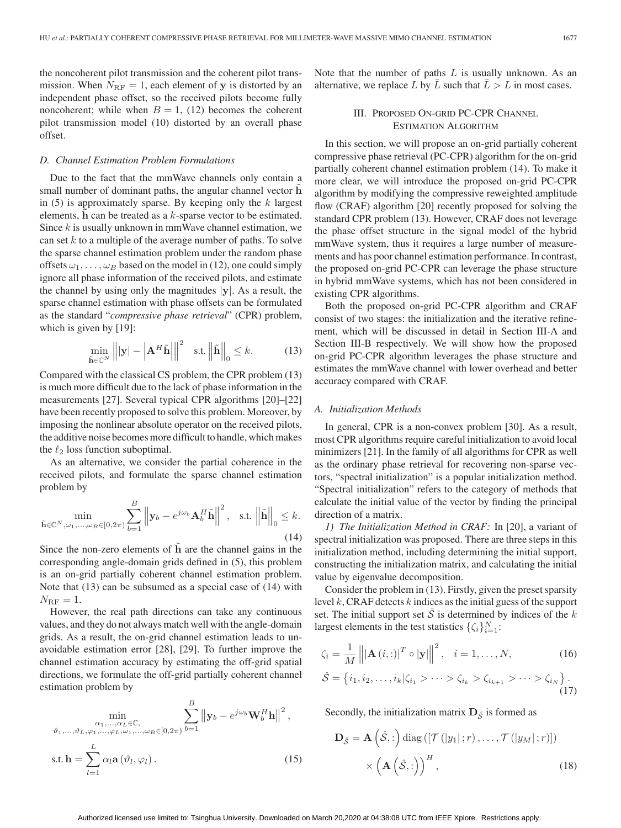the noncoherent pilot transmission and the coherent pilot transmission. When  $N_{\text{RF}} = 1$ , each element of y is distorted by an independent phase offset, so the received pilots become fully noncoherent; while when  $B = 1$ , (12) becomes the coherent pilot transmission model (10) distorted by an overall phase offset.

# *D. Channel Estimation Problem Formulations*

Due to the fact that the mmWave channels only contain a small number of dominant paths, the angular channel vector **h** in  $(5)$  is approximately sparse. By keeping only the k largest elements, h can be treated as a k-sparse vector to be estimated. Since k is usually unknown in mmWave channel estimation, we can set  $k$  to a multiple of the average number of paths. To solve the sparse channel estimation problem under the random phase offsets  $\omega_1, \ldots, \omega_B$  based on the model in (12), one could simply ignore all phase information of the received pilots, and estimate the channel by using only the magnitudes |**y**|. As a result, the sparse channel estimation with phase offsets can be formulated as the standard "*compressive phase retrieval*" (CPR) problem, which is given by [19]:

$$
\min_{\tilde{\mathbf{h}} \in \mathbb{C}^N} \left\| |\mathbf{y}| - \left| \mathbf{A}^H \tilde{\mathbf{h}} \right| \right\|^2 \quad \text{s.t.} \left\| \tilde{\mathbf{h}} \right\|_0 \le k. \tag{13}
$$

Compared with the classical CS problem, the CPR problem (13) is much more difficult due to the lack of phase information in the measurements [27]. Several typical CPR algorithms [20]–[22] have been recently proposed to solve this problem. Moreover, by imposing the nonlinear absolute operator on the received pilots, the additive noise becomes more difficult to handle, which makes the  $\ell_2$  loss function suboptimal.

As an alternative, we consider the partial coherence in the received pilots, and formulate the sparse channel estimation problem by

$$
\min_{\tilde{\mathbf{h}} \in \mathbb{C}^N, \omega_1, \dots, \omega_B \in [0, 2\pi)} \sum_{b=1}^B \left\| \mathbf{y}_b - e^{j\omega_b} \mathbf{A}_b^H \tilde{\mathbf{h}} \right\|^2, \quad \text{s.t.} \left\| \tilde{\mathbf{h}} \right\|_0 \le k. \tag{14}
$$

Since the non-zero elements of **h** are the channel gains in the corresponding angle-domain grids defined in (5), this problem is an on-grid partially coherent channel estimation problem. Note that (13) can be subsumed as a special case of (14) with  $N_{\rm RF}=1.$ 

However, the real path directions can take any continuous values, and they do not always match well with the angle-domain grids. As a result, the on-grid channel estimation leads to unavoidable estimation error [28], [29]. To further improve the channel estimation accuracy by estimating the off-grid spatial directions, we formulate the off-grid partially coherent channel estimation problem by

$$
\min_{\substack{\alpha_1,\ldots,\alpha_L \in \mathbb{C},\\ \vartheta_1,\ldots,\vartheta_L,\varphi_1,\ldots,\varphi_L,\omega_1,\ldots,\omega_B \in [0,2\pi)}} \sum_{b=1}^B \left\| \mathbf{y}_b - e^{j\omega_b} \mathbf{W}_b^H \mathbf{h} \right\|^2,
$$
\n
$$
\text{s.t. } \mathbf{h} = \sum_{l=1}^L \alpha_l \mathbf{a}\left(\vartheta_l, \varphi_l\right). \tag{15}
$$

Note that the number of paths  $L$  is usually unknown. As an alternative, we replace L by  $\overline{L}$  such that  $\overline{L} > L$  in most cases.

# III. PROPOSED ON-GRID PC-CPR CHANNEL ESTIMATION ALGORITHM

In this section, we will propose an on-grid partially coherent compressive phase retrieval (PC-CPR) algorithm for the on-grid partially coherent channel estimation problem (14). To make it more clear, we will introduce the proposed on-grid PC-CPR algorithm by modifying the compressive reweighted amplitude flow (CRAF) algorithm [20] recently proposed for solving the standard CPR problem (13). However, CRAF does not leverage the phase offset structure in the signal model of the hybrid mmWave system, thus it requires a large number of measurements and has poor channel estimation performance. In contrast, the proposed on-grid PC-CPR can leverage the phase structure in hybrid mmWave systems, which has not been considered in existing CPR algorithms.

Both the proposed on-grid PC-CPR algorithm and CRAF consist of two stages: the initialization and the iterative refinement, which will be discussed in detail in Section III-A and Section III-B respectively. We will show how the proposed on-grid PC-CPR algorithm leverages the phase structure and estimates the mmWave channel with lower overhead and better accuracy compared with CRAF.

# *A. Initialization Methods*

In general, CPR is a non-convex problem [30]. As a result, most CPR algorithms require careful initialization to avoid local minimizers [21]. In the family of all algorithms for CPR as well as the ordinary phase retrieval for recovering non-sparse vectors, "spectral initialization" is a popular initialization method. "Spectral initialization" refers to the category of methods that calculate the initial value of the vector by finding the principal direction of a matrix.

*1) The Initialization Method in CRAF:* In [20], a variant of spectral initialization was proposed. There are three steps in this initialization method, including determining the initial support, constructing the initialization matrix, and calculating the initial value by eigenvalue decomposition.

Consider the problem in (13). Firstly, given the preset sparsity level  $k$ , CRAF detects  $k$  indices as the initial guess of the support set. The initial support set  $\hat{S}$  is determined by indices of the k largest elements in the test statistics  $\{\zeta_i\}_{i=1}^N$ :

$$
\zeta_i = \frac{1}{M} \| |\mathbf{A}(i,:)|^T \circ |\mathbf{y}| \|^2, \quad i = 1, ..., N,
$$
\n(16)\n
$$
\hat{\mathcal{S}} = \{i_1, i_2, ..., i_k | \zeta_{i_1} > \dots > \zeta_{i_k} > \zeta_{i_{k+1}} > \dots > \zeta_{i_N} \}.
$$
\n(17)

Secondly, the initialization matrix  $D_{\hat{S}}$  is formed as

$$
\mathbf{D}_{\hat{\mathcal{S}}} = \mathbf{A}\left(\hat{\mathcal{S}}, : \right) \operatorname{diag}\left(\left[\mathcal{T}\left(|y_1|; r\right), \dots, \mathcal{T}\left(|y_M|; r\right)\right]\right) \times \left(\mathbf{A}\left(\hat{\mathcal{S}}, : \right)\right)^H, \tag{18}
$$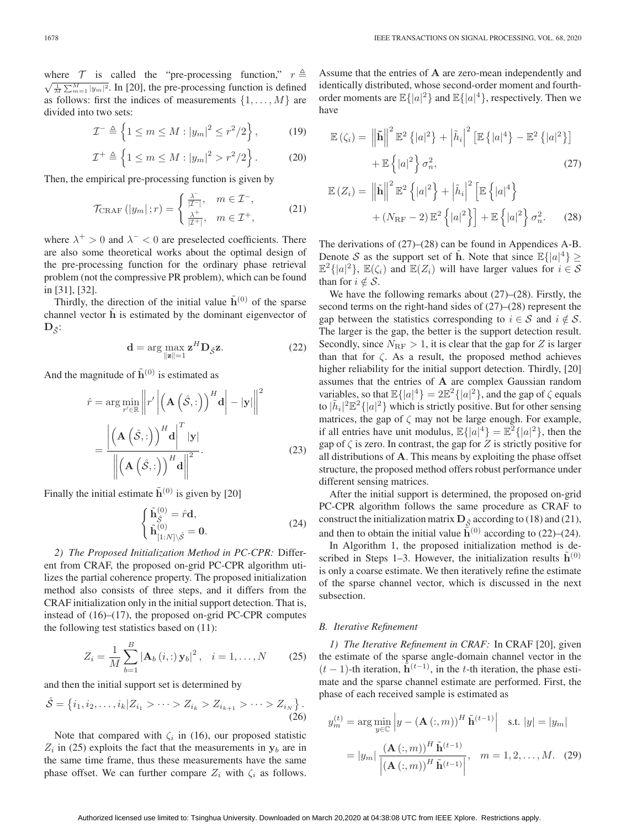where  $\mathcal T$  is called the "pre-processing function,"  $r \triangleq$ where  $\frac{1}{\sqrt{\frac{1}{M}}\sum_{m=1}^{M} |y_m|^2}$ . In [20], the pre-processing function is defined as follows: first the indices of measurements  $\{1,\ldots,M\}$  are divided into two sets:

$$
\mathcal{I}^- \triangleq \left\{ 1 \le m \le M : |y_m|^2 \le r^2/2 \right\},\qquad(19)
$$

$$
\mathcal{I}^+ \triangleq \left\{ 1 \le m \le M : |y_m|^2 > r^2/2 \right\}.
$$
 (20)

Then, the empirical pre-processing function is given by

$$
\mathcal{T}_{\text{CRAF}}\left(|y_m|;r\right) = \begin{cases} \frac{\lambda^-}{|\mathcal{I}^-|}, & m \in \mathcal{I}^-,\\ \frac{\lambda^+}{|\mathcal{I}^+|}, & m \in \mathcal{I}^+, \end{cases}
$$
 (21)

where  $\lambda^+ > 0$  and  $\lambda^- < 0$  are preselected coefficients. There are also some theoretical works about the optimal design of the pre-processing function for the ordinary phase retrieval problem (not the compressive PR problem), which can be found in [31], [32].

Thirdly, the direction of the initial value  $\tilde{h}^{(0)}$  of the sparse channel vector **h** is estimated by the dominant eigenvector of  $\mathbf{D}_{\hat{\mathcal{S}}}$ :

$$
\mathbf{d} = \arg \max_{\|\mathbf{z}\|=1} \mathbf{z}^H \mathbf{D}_{\hat{\mathcal{S}}} \mathbf{z}.
$$
 (22)

And the magnitude of  $\tilde{h}^{(0)}$  is estimated as

$$
\hat{r} = \arg\min_{r' \in \mathbb{R}} \left\| r' \left| \left( \mathbf{A} \left( \hat{S}, : \right) \right)^H \mathbf{d} \right| - |\mathbf{y}| \right\|^2
$$

$$
= \frac{\left| \left( \mathbf{A} \left( \hat{S}, : \right) \right)^H \mathbf{d} \right|^T |\mathbf{y}|}{\left\| \left( \mathbf{A} \left( \hat{S}, : \right) \right)^H \mathbf{d} \right\|^2}.
$$
(23)

Finally the initial estimate  $\tilde{h}^{(0)}$  is given by [20]

$$
\begin{cases} \tilde{\mathbf{h}}_{\hat{\mathcal{S}}}^{(0)} = \hat{r}\mathbf{d}, \\ \tilde{\mathbf{h}}_{[1:N]\setminus\hat{\mathcal{S}}}^{(0)} = \mathbf{0}. \end{cases} \tag{24}
$$

*2) The Proposed Initialization Method in PC-CPR:* Different from CRAF, the proposed on-grid PC-CPR algorithm utilizes the partial coherence property. The proposed initialization method also consists of three steps, and it differs from the CRAF initialization only in the initial support detection. That is, instead of  $(16)$ – $(17)$ , the proposed on-grid PC-CPR computes the following test statistics based on (11):

$$
Z_i = \frac{1}{M} \sum_{b=1}^{B} |\mathbf{A}_b(i,:)\mathbf{y}_b|^2, \quad i = 1,\dots,N \qquad (25)
$$

and then the initial support set is determined by

$$
\hat{S} = \{i_1, i_2, \dots, i_k | Z_{i_1} > \dots > Z_{i_k} > Z_{i_{k+1}} > \dots > Z_{i_N}\}.
$$
\n(26)

Note that compared with  $\zeta_i$  in (16), our proposed statistic  $Z_i$  in (25) exploits the fact that the measurements in  $y_b$  are in the same time frame, thus these measurements have the same phase offset. We can further compare  $Z_i$  with  $\zeta_i$  as follows.

Assume that the entries of **A** are zero-mean independently and identically distributed, whose second-order moment and fourthorder moments are  $\mathbb{E}\{|a|^2\}$  and  $\mathbb{E}\{|a|^4\}$ , respectively. Then we have

$$
\mathbb{E}(\zeta_i) = \left\| \tilde{\mathbf{h}} \right\|^2 \mathbb{E}^2 \left\{ |a|^2 \right\} + \left| \tilde{h}_i \right|^2 \left[ \mathbb{E} \left\{ |a|^4 \right\} - \mathbb{E}^2 \left\{ |a|^2 \right\} \right] + \mathbb{E} \left\{ |a|^2 \right\} \sigma_n^2,
$$
\n(27)

$$
\mathbb{E}\left(Z_{i}\right) = \left\|\tilde{\mathbf{h}}\right\|^{2} \mathbb{E}^{2} \left\{|a|^{2}\right\} + \left|\tilde{h}_{i}\right|^{2} \left[\mathbb{E}\left\{|a|^{4}\right\}\right] + \left(N_{\mathrm{RF}} - 2\right) \mathbb{E}^{2} \left\{|a|^{2}\right\}\right] + \mathbb{E}\left\{|a|^{2}\right\} \sigma_{n}^{2}.
$$
 (28)

The derivations of (27)–(28) can be found in Appendices A-B. Denote S as the support set of  $\tilde{h}$ . Note that since  $\mathbb{E}\{|a|^4\} \geq$  $\mathbb{E}^2\{|a|^2\}$ ,  $\mathbb{E}(\zeta_i)$  and  $\mathbb{E}(Z_i)$  will have larger values for  $i \in \mathcal{S}$ than for  $i \notin \mathcal{S}$ .

We have the following remarks about  $(27)$ – $(28)$ . Firstly, the second terms on the right-hand sides of (27)–(28) represent the gap between the statistics corresponding to  $i \in S$  and  $i \notin S$ . The larger is the gap, the better is the support detection result. Secondly, since  $N_{\text{RF}} > 1$ , it is clear that the gap for Z is larger than that for  $\zeta$ . As a result, the proposed method achieves higher reliability for the initial support detection. Thirdly, [20] assumes that the entries of **A** are complex Gaussian random variables, so that  $\mathbb{E}\{|a|^4\} = 2\mathbb{E}^2\{|a|^2\}$ , and the gap of  $\zeta$  equals to  $|\tilde{h}_i|^2 \mathbb{E}^2 \{ |a|^2 \}$  which is strictly positive. But for other sensing matrices, the gap of  $\zeta$  may not be large enough. For example, if all entries have unit modulus,  $\mathbb{E}\{|a|^4\} = \mathbb{E}^2\{|a|^2\}$ , then the gap of  $\zeta$  is zero. In contrast, the gap for Z is strictly positive for all distributions of **A**. This means by exploiting the phase offset structure, the proposed method offers robust performance under different sensing matrices.

After the initial support is determined, the proposed on-grid PC-CPR algorithm follows the same procedure as CRAF to construct the initialization matrix  $\mathbf{D}_{\hat{\mathcal{S}}}$  according to (18) and (21), and then to obtain the initial value  $\tilde{h}^{(0)}$  according to (22)–(24).

In Algorithm 1, the proposed initialization method is described in Steps 1–3. However, the initialization results  $\tilde{h}^{(0)}$ is only a coarse estimate. We then iteratively refine the estimate of the sparse channel vector, which is discussed in the next subsection.

# *B. Iterative Refinement*

*1) The Iterative Refinement in CRAF:* In CRAF [20], given the estimate of the sparse angle-domain channel vector in the  $(t-1)$ -th iteration,  $\tilde{\mathbf{h}}^{(t-1)}$ , in the t-th iteration, the phase estimate and the sparse channel estimate are performed. First, the phase of each received sample is estimated as

$$
y_m^{(t)} = \arg\min_{y \in \mathbb{C}} \left| y - (\mathbf{A}(:,m))^H \tilde{\mathbf{h}}^{(t-1)} \right| \quad \text{s.t. } |y| = |y_m|
$$

$$
= |y_m| \frac{(\mathbf{A}(:,m))^H \tilde{\mathbf{h}}^{(t-1)}}{ |(\mathbf{A}(:,m))^H \tilde{\mathbf{h}}^{(t-1)} |}, \quad m = 1, 2, ..., M. \quad (29)
$$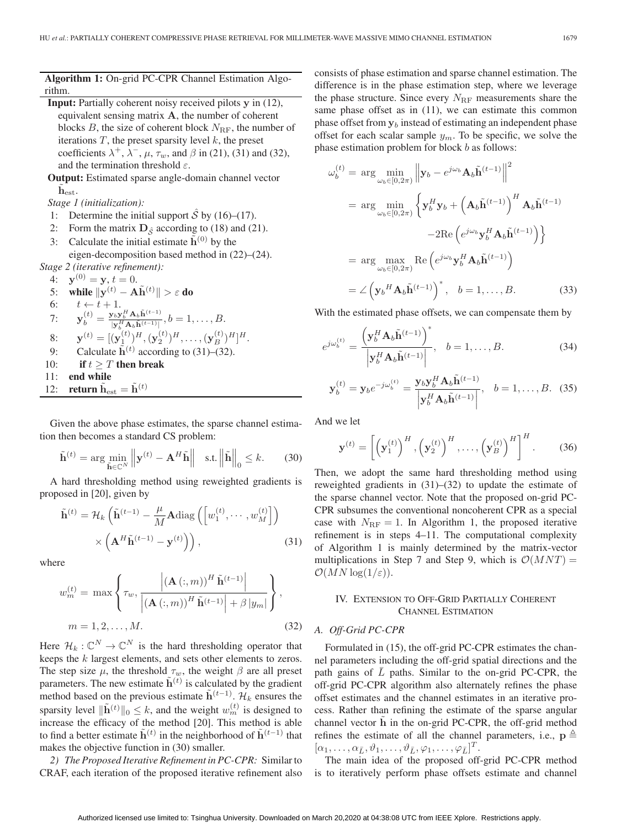**Algorithm 1:** On-grid PC-CPR Channel Estimation Algorithm.

**Input:** Partially coherent noisy received pilots **y** in (12), equivalent sensing matrix **A**, the number of coherent blocks  $B$ , the size of coherent block  $N_{\text{RF}}$ , the number of iterations  $T$ , the preset sparsity level  $k$ , the preset coefficients  $\lambda^+, \lambda^-, \mu, \tau_w$ , and  $\beta$  in (21), (31) and (32), and the termination threshold  $\varepsilon$ .

**Output:** Estimated sparse angle-domain channel vector  $h_{est}$ .

- *Stage 1 (initialization):*
- 1: Determine the initial support  $\hat{S}$  by (16)–(17).
- 2: Form the matrix  $\mathbf{D}_{\hat{\mathcal{S}}}$  according to (18) and (21).
- 3: Calculate the initial estimate  $\tilde{h}^{(0)}$  by the eigen-decomposition based method in (22)–(24).

*Stage 2 (iterative refinement):*

4:  $y^{(0)} = y, t = 0.$ 5: **while**  $\|\mathbf{y}^{(t)} - \mathbf{A}\tilde{\mathbf{h}}^{(t)}\| > \varepsilon$  do 6:  $t \leftarrow t + 1$ . 7:  $\mathbf{y}_b^{(t)} = \frac{\mathbf{y}_b \mathbf{y}_b^H \mathbf{A}_b \tilde{\mathbf{h}}^{(t-1)}}{\mathbf{w}^H \mathbf{A}_b \tilde{\mathbf{h}}^{(t-1)}}$  $\frac{\partial^l b \mathbf{y}_b}{\partial \mathbf{y}_b^H \mathbf{A}_b \tilde{\mathbf{h}}^{(t-1)}}, b = 1, \ldots, B.$ 8:  $\mathbf{y}^{(t)} = [(\mathbf{y}_1^{(t)})^H, (\mathbf{y}_2^{(t)})^H, \dots, (\mathbf{y}_B^{(t)})^H]^H.$ 9: Calculate  $\tilde{\mathbf{h}}^{(t)}$  according to (31)–(32). 10: **if**  $t > T$  **then break** 11: **end while** 12: **return**  $h_{est} = h^{(t)}$ 

Given the above phase estimates, the sparse channel estimation then becomes a standard CS problem:

$$
\tilde{\mathbf{h}}^{(t)} = \arg \min_{\tilde{\mathbf{h}} \in \mathbb{C}^N} \left\| \mathbf{y}^{(t)} - \mathbf{A}^H \tilde{\mathbf{h}} \right\| \quad \text{s.t.} \left\| \tilde{\mathbf{h}} \right\|_0 \le k. \tag{30}
$$

A hard thresholding method using reweighted gradients is proposed in [20], given by

$$
\tilde{\mathbf{h}}^{(t)} = \mathcal{H}_k \left( \tilde{\mathbf{h}}^{(t-1)} - \frac{\mu}{M} \mathbf{A} \text{diag} \left( \left[ w_1^{(t)}, \cdots, w_M^{(t)} \right] \right) \times \left( \mathbf{A}^H \tilde{\mathbf{h}}^{(t-1)} - \mathbf{y}^{(t)} \right) \right), \tag{31}
$$

where

$$
w_m^{(t)} = \max \left\{ \tau_w, \frac{\left| \left( \mathbf{A} \left( :, m \right) \right)^H \tilde{\mathbf{h}}^{(t-1)} \right|}{\left| \left( \mathbf{A} \left( :, m \right) \right)^H \tilde{\mathbf{h}}^{(t-1)} \right| + \beta \left| y_m \right|} \right\},\,
$$
  
\n
$$
m = 1, 2, \dots, M.
$$
\n(32)

Here  $\mathcal{H}_k : \mathbb{C}^N \to \mathbb{C}^N$  is the hard thresholding operator that keeps the k largest elements, and sets other elements to zeros. The step size  $\mu$ , the threshold  $\tau_w$ , the weight  $\beta$  are all preset parameters. The new estimate  $\tilde{\mathbf{h}}^{(t)}$  is calculated by the gradient method based on the previous estimate  $\tilde{\mathbf{h}}^{(t-1)}$ .  $\mathcal{H}_k$  ensures the sparsity level  $\|\tilde{\mathbf{h}}^{(t)}\|_0 \leq k$ , and the weight  $w_m^{(t)}$  is designed to increase the efficacy of the method [20]. This method is able to find a better estimate  $\tilde{\mathbf{h}}^{(t)}$  in the neighborhood of  $\tilde{\mathbf{h}}^{(t-1)}$  that makes the objective function in (30) smaller.

*2) The Proposed Iterative Refinement in PC-CPR:* Similar to CRAF, each iteration of the proposed iterative refinement also consists of phase estimation and sparse channel estimation. The difference is in the phase estimation step, where we leverage the phase structure. Since every  $N_{\text{RF}}$  measurements share the same phase offset as in (11), we can estimate this common phase offset from  $y_b$  instead of estimating an independent phase offset for each scalar sample  $y_m$ . To be specific, we solve the phase estimation problem for block  $b$  as follows:

$$
\omega_b^{(t)} = \arg \min_{\omega_b \in [0, 2\pi)} \left\| \mathbf{y}_b - e^{j\omega_b} \mathbf{A}_b \tilde{\mathbf{h}}^{(t-1)} \right\|^2
$$
  
\n
$$
= \arg \min_{\omega_b \in [0, 2\pi)} \left\{ \mathbf{y}_b^H \mathbf{y}_b + \left( \mathbf{A}_b \tilde{\mathbf{h}}^{(t-1)} \right)^H \mathbf{A}_b \tilde{\mathbf{h}}^{(t-1)} \right\}
$$
  
\n
$$
-2 \text{Re} \left( e^{j\omega_b} \mathbf{y}_b^H \mathbf{A}_b \tilde{\mathbf{h}}^{(t-1)} \right) \right\}
$$
  
\n
$$
= \arg \max_{\omega_b \in [0, 2\pi)} \text{Re} \left( e^{j\omega_b} \mathbf{y}_b^H \mathbf{A}_b \tilde{\mathbf{h}}^{(t-1)} \right)
$$
  
\n
$$
= \angle \left( \mathbf{y}_b^H \mathbf{A}_b \tilde{\mathbf{h}}^{(t-1)} \right)^*, \quad b = 1, ..., B. \tag{33}
$$

With the estimated phase offsets, we can compensate them by

$$
e^{j\omega_b^{(t)}} = \frac{\left(\mathbf{y}_b^H \mathbf{A}_b \tilde{\mathbf{h}}^{(t-1)}\right)^*}{\left|\mathbf{y}_b^H \mathbf{A}_b \tilde{\mathbf{h}}^{(t-1)}\right|}, \quad b = 1, \dots, B. \tag{34}
$$

$$
\mathbf{y}_b^{(t)} = \mathbf{y}_b e^{-j\omega_b^{(t)}} = \frac{\mathbf{y}_b \mathbf{y}_b^H \mathbf{A}_b \tilde{\mathbf{h}}^{(t-1)}}{\left| \mathbf{y}_b^H \mathbf{A}_b \tilde{\mathbf{h}}^{(t-1)} \right|}, \quad b = 1, \dots, B. \quad (35)
$$

And we let

$$
\mathbf{y}^{(t)} = \left[ \left( \mathbf{y}_1^{(t)} \right)^H, \left( \mathbf{y}_2^{(t)} \right)^H, \dots, \left( \mathbf{y}_B^{(t)} \right)^H \right]^H. \tag{36}
$$

Then, we adopt the same hard thresholding method using reweighted gradients in (31)–(32) to update the estimate of the sparse channel vector. Note that the proposed on-grid PC-CPR subsumes the conventional noncoherent CPR as a special case with  $N_{\text{RF}} = 1$ . In Algorithm 1, the proposed iterative refinement is in steps 4–11. The computational complexity of Algorithm 1 is mainly determined by the matrix-vector multiplications in Step 7 and Step 9, which is  $\mathcal{O}(MNT)$  =  $\mathcal{O}(MN \log(1/\varepsilon)).$ 

# IV. EXTENSION TO OFF-GRID PARTIALLY COHERENT CHANNEL ESTIMATION

#### *A. Off-Grid PC-CPR*

Formulated in (15), the off-grid PC-CPR estimates the channel parameters including the off-grid spatial directions and the path gains of  $L$  paths. Similar to the on-grid PC-CPR, the off-grid PC-CPR algorithm also alternately refines the phase offset estimates and the channel estimates in an iterative process. Rather than refining the estimate of the sparse angular channel vector **h** in the on-grid PC-CPR, the off-grid method refines the estimate of all the channel parameters, i.e.,  $p \triangleq$  $[\alpha_1,\ldots,\alpha_{\bar{L}},\vartheta_1,\ldots,\vartheta_{\bar{L}},\varphi_1,\ldots,\varphi_{\bar{L}}]^T$ .

The main idea of the proposed off-grid PC-CPR method is to iteratively perform phase offsets estimate and channel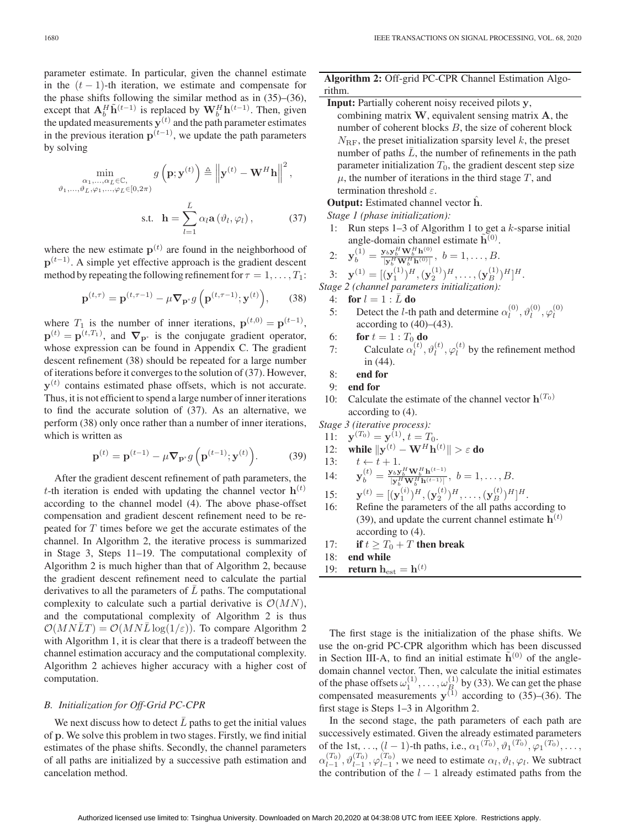parameter estimate. In particular, given the channel estimate in the  $(t - 1)$ -th iteration, we estimate and compensate for the phase shifts following the similar method as in (35)–(36), except that  $\mathbf{A}_{b}^{H} \tilde{\mathbf{h}}^{(t-1)}$  is replaced by  $\mathbf{W}_{b}^{H} \mathbf{h}^{(t-1)}$ . Then, given the updated measurements  $y^{(t)}$  and the path parameter estimates in the previous iteration  $p^{(t-1)}$ , we update the path parameters by solving

$$
\min_{\substack{\alpha_1, \dots, \alpha_L \in \mathbb{C}, \\ \theta_1, \dots, \theta_L, \varphi_1, \dots, \varphi_L \in [0, 2\pi)}} g\left(\mathbf{p}; \mathbf{y}^{(t)}\right) \triangleq \left\| \mathbf{y}^{(t)} - \mathbf{W}^H \mathbf{h} \right\|^2,
$$
\n
$$
\text{s.t.} \quad \mathbf{h} = \sum_{l=1}^{\bar{L}} \alpha_l \mathbf{a}\left(\vartheta_l, \varphi_l\right),\tag{37}
$$

where the new estimate  $\mathbf{p}^{(t)}$  are found in the neighborhood of  $p^{(t-1)}$ . A simple yet effective approach is the gradient descent method by repeating the following refinement for  $\tau = 1, \ldots, T_1$ :

$$
\mathbf{p}^{(t,\tau)} = \mathbf{p}^{(t,\tau-1)} - \mu \nabla_{\mathbf{p}^*} g\left(\mathbf{p}^{(t,\tau-1)}; \mathbf{y}^{(t)}\right),\qquad(38)
$$

where  $T_1$  is the number of inner iterations,  $\mathbf{p}^{(t,0)} = \mathbf{p}^{(t-1)}$ ,  $\mathbf{p}^{(t)} = \mathbf{p}^{(t,T_1)}$ , and  $\nabla_{\mathbf{p}^*}$  is the conjugate gradient operator, whose expression can be found in Appendix C. The gradient descent refinement (38) should be repeated for a large number of iterations before it converges to the solution of (37). However,  $y^{(t)}$  contains estimated phase offsets, which is not accurate. Thus, it is not efficient to spend a large number of inner iterations to find the accurate solution of (37). As an alternative, we perform (38) only once rather than a number of inner iterations, which is written as

$$
\mathbf{p}^{(t)} = \mathbf{p}^{(t-1)} - \mu \nabla_{\mathbf{p}^*} g\left(\mathbf{p}^{(t-1)}; \mathbf{y}^{(t)}\right). \tag{39}
$$

After the gradient descent refinement of path parameters, the t-th iteration is ended with updating the channel vector  $\mathbf{h}^{(t)}$ according to the channel model (4). The above phase-offset compensation and gradient descent refinement need to be repeated for  $T$  times before we get the accurate estimates of the channel. In Algorithm 2, the iterative process is summarized in Stage 3, Steps 11–19. The computational complexity of Algorithm 2 is much higher than that of Algorithm 2, because the gradient descent refinement need to calculate the partial derivatives to all the parameters of  $\overline{L}$  paths. The computational complexity to calculate such a partial derivative is  $\mathcal{O}(MN)$ , and the computational complexity of Algorithm 2 is thus  $\mathcal{O}(MNLT) = \mathcal{O}(MNL \log(1/\varepsilon))$ . To compare Algorithm 2 with Algorithm 1, it is clear that there is a tradeoff between the channel estimation accuracy and the computational complexity. Algorithm 2 achieves higher accuracy with a higher cost of computation.

# *B. Initialization for Off-Grid PC-CPR*

We next discuss how to detect  $\bar{L}$  paths to get the initial values of **p**. We solve this problem in two stages. Firstly, we find initial estimates of the phase shifts. Secondly, the channel parameters of all paths are initialized by a successive path estimation and cancelation method.

# **Algorithm 2:** Off-grid PC-CPR Channel Estimation Algorithm.

**Input:** Partially coherent noisy received pilots **y**, combining matrix **W**, equivalent sensing matrix **A**, the number of coherent blocks  $B$ , the size of coherent block  $N_{\text{RF}}$ , the preset initialization sparsity level k, the preset number of paths  $L$ , the number of refinements in the path parameter initialization  $T_0$ , the gradient descent step size  $\mu$ , the number of iterations in the third stage T, and termination threshold  $\varepsilon$ .

**Output:** Estimated channel vector **h**.

*Stage 1 (phase initialization):*

1: Run steps  $1-3$  of Algorithm 1 to get a k-sparse initial angle-domain channel estimate  $\tilde{h}^{(0)}$ .

2: 
$$
\mathbf{y}_b^{(1)} = \frac{\mathbf{y}_b \mathbf{y}_b^H \mathbf{W}_b^H \mathbf{h}^{(0)}}{|\mathbf{y}_b^H \mathbf{W}_b^H \mathbf{h}^{(0)}|}, \ b = 1, \dots, B.
$$

3: 
$$
\mathbf{y}^{(1)} = [(\mathbf{y}_1^{(1)})^H, (\mathbf{y}_2^{(1)})^H, \dots, (\mathbf{y}_B^{(1)})^H]^H.
$$

*Stage 2 (channel parameters initialization):*

- 4: **for**  $l = 1 : \bar{L}$  **do**
- 5: Detect the *l*-th path and determine  $\alpha_l^{(0)}$ ,  $\vartheta_l^{(0)}$ ,  $\varphi_l^{(0)}$ according to (40)–(43).
- 6: **for**  $t = 1 : T_0$  **do**
- 7: Calculate  $\alpha_l^{(t)}, \vartheta_l^{(t)}, \varphi_l^{(t)}$  by the refinement method in (44).
- 8: **end for**
- 9: **end for**
- 10: Calculate the estimate of the channel vector  $\mathbf{h}^{(T_0)}$ according to (4).
- *Stage 3 (iterative process):*
- 11:  $\mathbf{y}^{(T_0)} = \mathbf{y}^{(1)}$ ,  $t = T_0$ .
- 12: **while**  $\|\mathbf{y}^{(t)} \mathbf{W}^H\mathbf{h}^{(t)}\| > \varepsilon$  do

13: 
$$
t \leftarrow t + 1
$$
.

14: 
$$
\mathbf{y}_{b}^{(t)} = \frac{\mathbf{y}_{b} \mathbf{y}_{b}^{H} \mathbf{W}_{b}^{H} \mathbf{h}^{(t-1)}}{|\mathbf{y}_{b}^{H} \mathbf{W}_{b}^{H} \mathbf{h}^{(t-1)}|}, \ b = 1, \ldots, B.
$$

15: 
$$
\mathbf{y}^{(t)} = [(\mathbf{y}_1^{(i)})^H, (\mathbf{y}_2^{(t)})^H, \dots, (\mathbf{y}_B^{(t)})^H]^H.
$$

- 16: Refine the parameters of the all paths according to (39), and update the current channel estimate  $h^{(t)}$ according to (4).
- 17: **if**  $t \geq T_0 + T$  **then break**
- 18: **end while**
- 19: **return**  $\mathbf{h}_{\text{est}} = \mathbf{h}^{(t)}$

The first stage is the initialization of the phase shifts. We use the on-grid PC-CPR algorithm which has been discussed in Section III-A, to find an initial estimate  $\tilde{h}^{(0)}$  of the angledomain channel vector. Then, we calculate the initial estimates of the phase offsets  $\omega_1^{(1)}, \ldots, \omega_B^{(1)}$  by (33). We can get the phase compensated measurements  $y^{(1)}$  according to (35)–(36). The first stage is Steps 1–3 in Algorithm 2.

In the second stage, the path parameters of each path are successively estimated. Given the already estimated parameters of the 1st, ...,  $(l-1)$ -th paths, i.e.,  $\alpha_1^{(\tilde{T}_0)}, \vartheta_1^{(T_0)}, \varphi_1^{(T_0)}, \ldots$ ,  $\alpha_{l-1}^{(T_0)}, \vartheta_{l-1}^{(T_0)}, \varphi_{l-1}^{(T_0)}$ , we need to estimate  $\alpha_l, \vartheta_l, \varphi_l$ . We subtract the contribution of the  $l - 1$  already estimated paths from the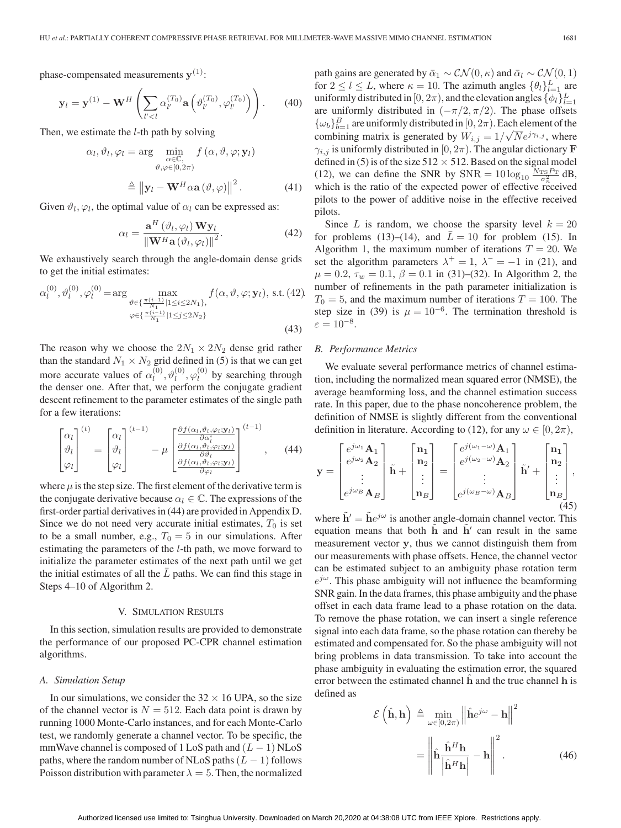phase-compensated measurements  $y^{(1)}$ :

$$
\mathbf{y}_{l} = \mathbf{y}^{(1)} - \mathbf{W}^{H}\left(\sum_{l'
$$

Then, we estimate the  $l$ -th path by solving

$$
\alpha_l, \vartheta_l, \varphi_l = \arg \min_{\substack{\alpha \in \mathbb{C}, \\ \vartheta, \varphi \in [0, 2\pi)}} f(\alpha, \vartheta, \varphi; \mathbf{y}_l)
$$

$$
\triangleq \left\| \mathbf{y}_l - \mathbf{W}^H \alpha \mathbf{a}(\vartheta, \varphi) \right\|^2. \tag{41}
$$

Given  $\vartheta_l, \varphi_l$ , the optimal value of  $\alpha_l$  can be expressed as:

$$
\alpha_l = \frac{\mathbf{a}^H(\vartheta_l, \varphi_l) \mathbf{W} \mathbf{y}_l}{\|\mathbf{W}^H \mathbf{a}(\vartheta_l, \varphi_l)\|^2}.
$$
 (42)

We exhaustively search through the angle-domain dense grids to get the initial estimates:

$$
\alpha_l^{(0)}, \vartheta_l^{(0)}, \varphi_l^{(0)} = \arg \max_{\substack{\vartheta \in \{\frac{\pi(i-1)}{N_1} | 1 \le i \le 2N_1\}, \\ \varphi \in \{\frac{\pi(i-1)}{N_1} | 1 \le j \le 2N_2\}}} f(\alpha, \vartheta, \varphi; \mathbf{y}_l), \text{ s.t. (42).}
$$
\n(43)

The reason why we choose the  $2N_1 \times 2N_2$  dense grid rather than the standard  $N_1 \times N_2$  grid defined in (5) is that we can get more accurate values of  $\alpha_l^{(0)}, \vartheta_l^{(0)}, \varphi_l^{(0)}$  by searching through the denser one. After that, we perform the conjugate gradient descent refinement to the parameter estimates of the single path for a few iterations:

$$
\begin{bmatrix} \alpha_l \\ \vartheta_l \\ \varphi_l \end{bmatrix}^{(t)} = \begin{bmatrix} \alpha_l \\ \vartheta_l \\ \varphi_l \end{bmatrix}^{(t-1)} - \mu \begin{bmatrix} \frac{\partial f(\alpha_l, \vartheta_l, \varphi_l; \mathbf{y}_l)}{\partial \alpha_l^*} \\ \frac{\partial f(\alpha_l, \vartheta_l, \varphi_l; \mathbf{y}_l)}{\partial \vartheta_l} \\ \frac{\partial f(\alpha_l, \vartheta_l, \varphi_l; \mathbf{y}_l)}{\partial \varphi_l} \end{bmatrix}^{(t-1)}, \quad (44)
$$

where  $\mu$  is the step size. The first element of the derivative term is the conjugate derivative because  $\alpha_l \in \mathbb{C}$ . The expressions of the first-order partial derivatives in (44) are provided in Appendix D. Since we do not need very accurate initial estimates,  $T_0$  is set to be a small number, e.g.,  $T_0 = 5$  in our simulations. After estimating the parameters of the l-th path, we move forward to initialize the parameter estimates of the next path until we get the initial estimates of all the  $\overline{L}$  paths. We can find this stage in Steps 4–10 of Algorithm 2.

#### V. SIMULATION RESULTS

In this section, simulation results are provided to demonstrate the performance of our proposed PC-CPR channel estimation algorithms.

#### *A. Simulation Setup*

In our simulations, we consider the  $32 \times 16$  UPA, so the size of the channel vector is  $N = 512$ . Each data point is drawn by running 1000 Monte-Carlo instances, and for each Monte-Carlo test, we randomly generate a channel vector. To be specific, the mmWave channel is composed of 1 LoS path and  $(L - 1)$  NLoS paths, where the random number of NLoS paths  $(L - 1)$  follows Poisson distribution with parameter  $\lambda = 5$ . Then, the normalized path gains are generated by  $\bar{\alpha}_1 \sim \mathcal{CN}(0, \kappa)$  and  $\bar{\alpha}_l \sim \mathcal{CN}(0, 1)$ for  $2 \le l \le L$ , where  $\kappa = 10$ . The azimuth angles  $\{\theta_l\}_{l=1}^L$  are uniformly distributed in  $[0, 2\pi)$ , and the elevation angles  $\{\phi_l\}_{l=1}^L$ are uniformly distributed in  $(-\pi/2, \pi/2)$ . The phase offsets  $\{\omega_b\}_{b=1}^B$  are uniformly distributed in  $[0, 2\pi)$ . Each element of the combining matrix is generated by  $W_{i,j} = 1/\sqrt{N}e^{j\gamma_{i,j}}$ , where  $\gamma_{i,j}$  is uniformly distributed in [0,  $2\pi$ ). The angular dictionary **F** defined in (5) is of the size  $512 \times 512$ . Based on the signal model (12), we can define the SNR by  $SNR = 10 \log_{10} \frac{N_{\text{TS}} P_{\text{T}}}{\sigma_n^2} dB$ , which is the ratio of the expected power of effective received pilots to the power of additive noise in the effective received pilots.

Since L is random, we choose the sparsity level  $k = 20$ for problems (13)–(14), and  $L=10$  for problem (15). In Algorithm 1, the maximum number of iterations  $T = 20$ . We set the algorithm parameters  $\lambda^+ = 1$ ,  $\lambda^- = -1$  in (21), and  $\mu = 0.2$ ,  $\tau_w = 0.1$ ,  $\beta = 0.1$  in (31)–(32). In Algorithm 2, the number of refinements in the path parameter initialization is  $T_0 = 5$ , and the maximum number of iterations  $T = 100$ . The step size in (39) is  $\mu = 10^{-6}$ . The termination threshold is  $\varepsilon=10^{-8}.$ 

# *B. Performance Metrics*

We evaluate several performance metrics of channel estimation, including the normalized mean squared error (NMSE), the average beamforming loss, and the channel estimation success rate. In this paper, due to the phase noncoherence problem, the definition of NMSE is slightly different from the conventional definition in literature. According to (12), for any  $\omega \in [0, 2\pi)$ ,

$$
\mathbf{y} = \begin{bmatrix} e^{j\omega_1} \mathbf{A}_1 \\ e^{j\omega_2} \mathbf{A}_2 \\ \vdots \\ e^{j\omega_B} \mathbf{A}_B \end{bmatrix} \tilde{\mathbf{h}} + \begin{bmatrix} \mathbf{n}_1 \\ \mathbf{n}_2 \\ \vdots \\ \mathbf{n}_B \end{bmatrix} = \begin{bmatrix} e^{j(\omega_1 - \omega)} \mathbf{A}_1 \\ e^{j(\omega_2 - \omega)} \mathbf{A}_2 \\ \vdots \\ e^{j(\omega_B - \omega)} \mathbf{A}_B \end{bmatrix} \tilde{\mathbf{h}}' + \begin{bmatrix} \mathbf{n}_1 \\ \mathbf{n}_2 \\ \vdots \\ \mathbf{n}_B \end{bmatrix},
$$
\n(45)

where  $h' = h e^{j\omega}$  is another angle-domain channel vector. This equation means that both  $\hat{h}$  and  $\hat{h}'$  can result in the same measurement vector **y**, thus we cannot distinguish them from our measurements with phase offsets. Hence, the channel vector can be estimated subject to an ambiguity phase rotation term  $e^{j\omega}$ . This phase ambiguity will not influence the beamforming SNR gain. In the data frames, this phase ambiguity and the phase offset in each data frame lead to a phase rotation on the data. To remove the phase rotation, we can insert a single reference signal into each data frame, so the phase rotation can thereby be estimated and compensated for. So the phase ambiguity will not bring problems in data transmission. To take into account the phase ambiguity in evaluating the estimation error, the squared error between the estimated channel **h** and the true channel **h** is defined as

$$
\mathcal{E}\left(\hat{\mathbf{h}}, \mathbf{h}\right) \triangleq \min_{\omega \in [0, 2\pi)} \left\| \hat{\mathbf{h}} e^{j\omega} - \mathbf{h} \right\|^2
$$

$$
= \left\| \hat{\mathbf{h}} \frac{\hat{\mathbf{h}}^H \mathbf{h}}{\left| \hat{\mathbf{h}}^H \mathbf{h} \right|} - \mathbf{h} \right\|^2. \tag{46}
$$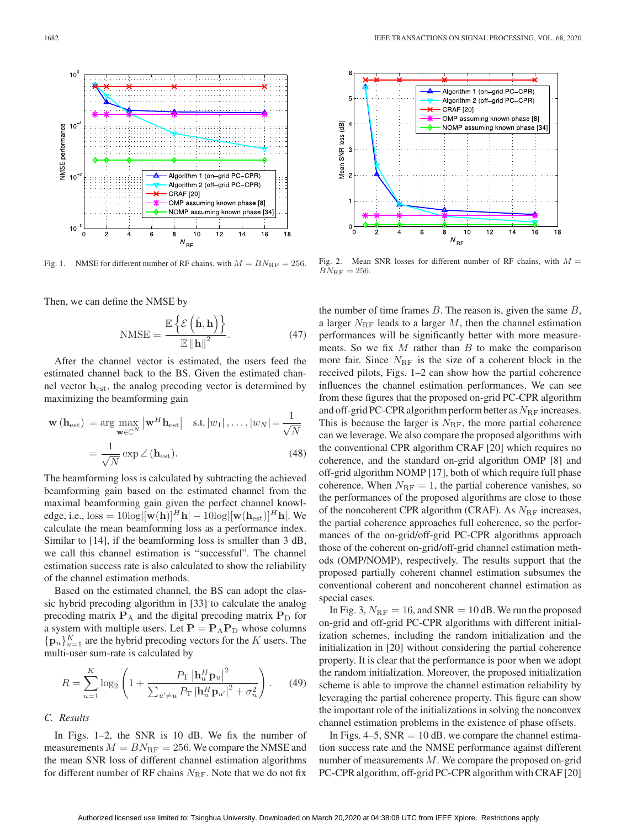

Fig. 1. NMSE for different number of RF chains, with  $M = B N_{\text{RF}} = 256$ .

Then, we can define the NMSE by

$$
\text{NMSE} = \frac{\mathbb{E}\left\{\mathcal{E}\left(\hat{\mathbf{h}}, \mathbf{h}\right)\right\}}{\mathbb{E}\left\|\mathbf{h}\right\|^2}.\tag{47}
$$

After the channel vector is estimated, the users feed the estimated channel back to the BS. Given the estimated channel vector **h**est, the analog precoding vector is determined by maximizing the beamforming gain

$$
\mathbf{w}(\mathbf{h}_{\text{est}}) = \underset{\mathbf{w} \in \mathbb{C}^{N}}{\arg \max} |\mathbf{w}^{H} \mathbf{h}_{\text{est}}| \quad \text{s.t.} |w_{1}|, \dots, |w_{N}| = \frac{1}{\sqrt{N}}
$$

$$
= \frac{1}{\sqrt{N}} \exp \angle (\mathbf{h}_{\text{est}}). \tag{48}
$$

The beamforming loss is calculated by subtracting the achieved beamforming gain based on the estimated channel from the maximal beamforming gain given the perfect channel knowledge, i.e.,  $\cos = 10\log[(\mathbf{w}(\mathbf{h})]^H \mathbf{h}] - 10\log[(\mathbf{w}(\mathbf{h}_{est})]^H \mathbf{h}]$ . We calculate the mean beamforming loss as a performance index. Similar to [14], if the beamforming loss is smaller than 3 dB, we call this channel estimation is "successful". The channel estimation success rate is also calculated to show the reliability of the channel estimation methods.

Based on the estimated channel, the BS can adopt the classic hybrid precoding algorithm in [33] to calculate the analog precoding matrix  $P_A$  and the digital precoding matrix  $P_D$  for a system with multiple users. Let  $P = P_A P_D$  whose columns  ${\{\mathbf p_u\}}_{u=1}^K$  are the hybrid precoding vectors for the K users. The multi-user sum-rate is calculated by

$$
R = \sum_{u=1}^{K} \log_2 \left( 1 + \frac{P_{\rm T} \left| \mathbf{h}_u^H \mathbf{p}_u \right|^2}{\sum_{u' \neq u} P_{\rm T} \left| \mathbf{h}_u^H \mathbf{p}_{u'} \right|^2 + \sigma_n^2} \right). \tag{49}
$$

# *C. Results*

In Figs. 1–2, the SNR is 10 dB. We fix the number of measurements  $M = BN_{\text{RF}} = 256$ . We compare the NMSE and the mean SNR loss of different channel estimation algorithms for different number of RF chains  $N_{\text{RF}}$ . Note that we do not fix



Fig. 2. Mean SNR losses for different number of RF chains, with  $M =$  $BN_{\text{RF}} = 256.$ 

the number of time frames  $B$ . The reason is, given the same  $B$ , a larger  $N_{\text{RF}}$  leads to a larger M, then the channel estimation performances will be significantly better with more measurements. So we fix  $M$  rather than  $B$  to make the comparison more fair. Since  $N_{\text{RF}}$  is the size of a coherent block in the received pilots, Figs. 1–2 can show how the partial coherence influences the channel estimation performances. We can see from these figures that the proposed on-grid PC-CPR algorithm and off-grid PC-CPR algorithm perform better as  $N_{\rm RF}$  increases. This is because the larger is  $N_{\text{RF}}$ , the more partial coherence can we leverage. We also compare the proposed algorithms with the conventional CPR algorithm CRAF [20] which requires no coherence, and the standard on-grid algorithm OMP [8] and off-grid algorithm NOMP [17], both of which require full phase coherence. When  $N_{\text{RF}} = 1$ , the partial coherence vanishes, so the performances of the proposed algorithms are close to those of the noncoherent CPR algorithm (CRAF). As  $N_{\text{RF}}$  increases, the partial coherence approaches full coherence, so the performances of the on-grid/off-grid PC-CPR algorithms approach those of the coherent on-grid/off-grid channel estimation methods (OMP/NOMP), respectively. The results support that the proposed partially coherent channel estimation subsumes the conventional coherent and noncoherent channel estimation as special cases.

In Fig. 3,  $N_{\text{RF}} = 16$ , and SNR = 10 dB. We run the proposed on-grid and off-grid PC-CPR algorithms with different initialization schemes, including the random initialization and the initialization in [20] without considering the partial coherence property. It is clear that the performance is poor when we adopt the random initialization. Moreover, the proposed initialization scheme is able to improve the channel estimation reliability by leveraging the partial coherence property. This figure can show the important role of the initializations in solving the nonconvex channel estimation problems in the existence of phase offsets.

In Figs.  $4-5$ , SNR = 10 dB. we compare the channel estimation success rate and the NMSE performance against different number of measurements M. We compare the proposed on-grid PC-CPR algorithm, off-grid PC-CPR algorithm with CRAF [20]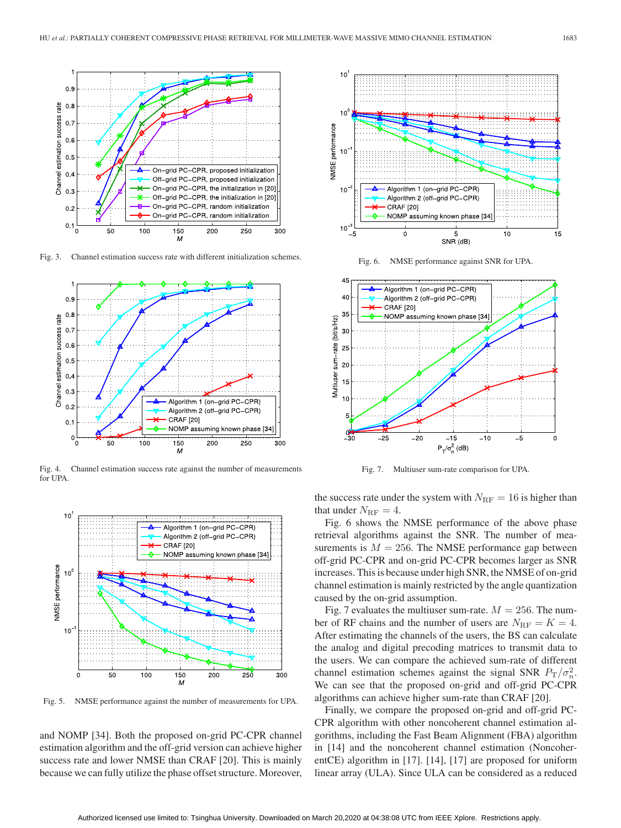

Fig. 3. Channel estimation success rate with different initialization schemes.



Fig. 4. Channel estimation success rate against the number of measurements for UPA.



Fig. 5. NMSE performance against the number of measurements for UPA.

and NOMP [34]. Both the proposed on-grid PC-CPR channel estimation algorithm and the off-grid version can achieve higher success rate and lower NMSE than CRAF [20]. This is mainly because we can fully utilize the phase offset structure. Moreover,



Fig. 6. NMSE performance against SNR for UPA.



Fig. 7. Multiuser sum-rate comparison for UPA.

the success rate under the system with  $N_{\text{RF}} = 16$  is higher than that under  $N_{\text{RF}} = 4$ .

Fig. 6 shows the NMSE performance of the above phase retrieval algorithms against the SNR. The number of measurements is  $M = 256$ . The NMSE performance gap between off-grid PC-CPR and on-grid PC-CPR becomes larger as SNR increases. This is because under high SNR, the NMSE of on-grid channel estimation is mainly restricted by the angle quantization caused by the on-grid assumption.

Fig. 7 evaluates the multiuser sum-rate.  $M = 256$ . The number of RF chains and the number of users are  $N_{\text{RF}} = K = 4$ . After estimating the channels of the users, the BS can calculate the analog and digital precoding matrices to transmit data to the users. We can compare the achieved sum-rate of different channel estimation schemes against the signal SNR  $P_{\rm T}/\sigma_{\rm n}^2$ . We can see that the proposed on-grid and off-grid PC-CPR algorithms can achieve higher sum-rate than CRAF [20].

Finally, we compare the proposed on-grid and off-grid PC-CPR algorithm with other noncoherent channel estimation algorithms, including the Fast Beam Alignment (FBA) algorithm in [14] and the noncoherent channel estimation (NoncoherentCE) algorithm in [17]. [14], [17] are proposed for uniform linear array (ULA). Since ULA can be considered as a reduced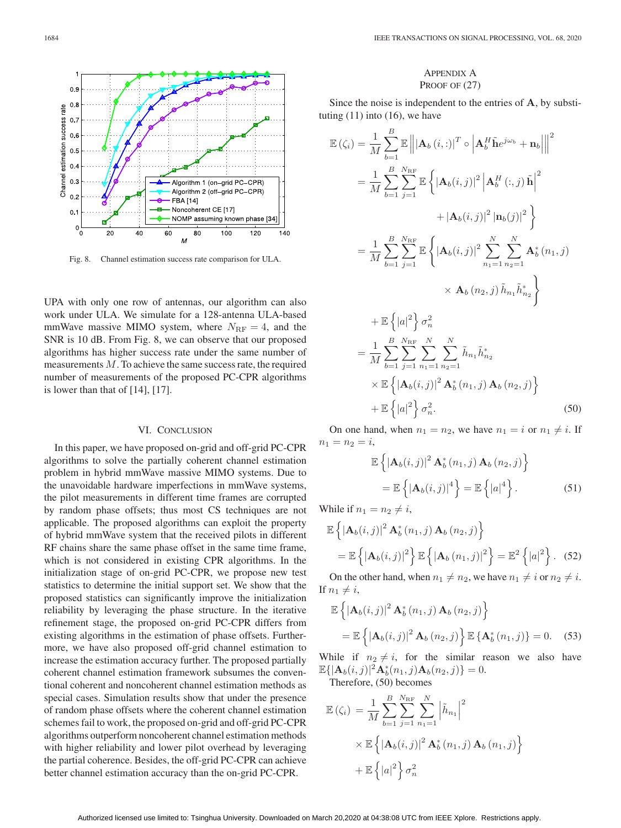

Fig. 8. Channel estimation success rate comparison for ULA.

UPA with only one row of antennas, our algorithm can also work under ULA. We simulate for a 128-antenna ULA-based mmWave massive MIMO system, where  $N_{\text{RF}} = 4$ , and the SNR is 10 dB. From Fig. 8, we can observe that our proposed algorithms has higher success rate under the same number of measurements M. To achieve the same success rate, the required number of measurements of the proposed PC-CPR algorithms is lower than that of [14], [17].

## VI. CONCLUSION

In this paper, we have proposed on-grid and off-grid PC-CPR algorithms to solve the partially coherent channel estimation problem in hybrid mmWave massive MIMO systems. Due to the unavoidable hardware imperfections in mmWave systems, the pilot measurements in different time frames are corrupted by random phase offsets; thus most CS techniques are not applicable. The proposed algorithms can exploit the property of hybrid mmWave system that the received pilots in different RF chains share the same phase offset in the same time frame, which is not considered in existing CPR algorithms. In the initialization stage of on-grid PC-CPR, we propose new test statistics to determine the initial support set. We show that the proposed statistics can significantly improve the initialization reliability by leveraging the phase structure. In the iterative refinement stage, the proposed on-grid PC-CPR differs from existing algorithms in the estimation of phase offsets. Furthermore, we have also proposed off-grid channel estimation to increase the estimation accuracy further. The proposed partially coherent channel estimation framework subsumes the conventional coherent and noncoherent channel estimation methods as special cases. Simulation results show that under the presence of random phase offsets where the coherent channel estimation schemes fail to work, the proposed on-grid and off-grid PC-CPR algorithms outperform noncoherent channel estimation methods with higher reliability and lower pilot overhead by leveraging the partial coherence. Besides, the off-grid PC-CPR can achieve better channel estimation accuracy than the on-grid PC-CPR.

# APPENDIX A PROOF OF  $(27)$

Since the noise is independent to the entries of **A**, by substituting  $(11)$  into  $(16)$ , we have

$$
\mathbb{E}(\zeta_{i}) = \frac{1}{M} \sum_{b=1}^{B} \mathbb{E} \left\| \mathbf{A}_{b} (i, :) \right\|^{T} \circ \left| \mathbf{A}_{b}^{H} \tilde{\mathbf{h}} e^{j\omega_{b}} + \mathbf{n}_{b} \right\| \right\|^{2}
$$
\n
$$
= \frac{1}{M} \sum_{b=1}^{B} \sum_{j=1}^{N_{\text{RF}}} \mathbb{E} \left\{ \left| \mathbf{A}_{b} (i, j) \right|^{2} \left| \mathbf{A}_{b}^{H} (:, j) \tilde{\mathbf{h}} \right|^{2} + |\mathbf{A}_{b} (i, j)|^{2} \left| \mathbf{n}_{b} (j) \right|^{2} \right\}
$$
\n
$$
= \frac{1}{M} \sum_{b=1}^{B} \sum_{j=1}^{N_{\text{RF}}} \mathbb{E} \left\{ \left| \mathbf{A}_{b} (i, j) \right|^{2} \sum_{n_{1}=1}^{N} \sum_{n_{2}=1}^{N} \mathbf{A}_{b}^{*} (n_{1}, j) \right\| \times \mathbf{A}_{b} (n_{2}, j) \tilde{h}_{n_{1}} \tilde{h}_{n_{2}}^{*} \right\}
$$
\n
$$
+ \mathbb{E} \left\{ |a|^{2} \right\} \sigma_{n}^{2}
$$
\n
$$
= \frac{1}{M} \sum_{b=1}^{B} \sum_{j=1}^{N_{\text{RF}}} \sum_{n_{1}=1}^{N} \sum_{n_{2}=1}^{N} \tilde{h}_{n_{1}} \tilde{h}_{n_{2}}^{*}
$$
\n
$$
\times \mathbb{E} \left\{ \left| \mathbf{A}_{b} (i, j) \right|^{2} \mathbf{A}_{b}^{*} (n_{1}, j) \mathbf{A}_{b} (n_{2}, j) \right\}
$$
\n
$$
+ \mathbb{E} \left\{ |a|^{2} \right\} \sigma_{n}^{2}.
$$
\n(50)

On one hand, when  $n_1 = n_2$ , we have  $n_1 = i$  or  $n_1 \neq i$ . If  $n_1 = n_2 = i$ ,

$$
\mathbb{E}\left\{|\mathbf{A}_b(i,j)|^2 \mathbf{A}_b^*(n_1,j) \mathbf{A}_b(n_2,j)\right\}
$$

$$
= \mathbb{E}\left\{|\mathbf{A}_b(i,j)|^4\right\} = \mathbb{E}\left\{|a|^4\right\}.
$$
 (51)

While if  $n_1 = n_2 \neq i$ ,

$$
\mathbb{E}\left\{|\mathbf{A}_{b}(i,j)|^{2} \mathbf{A}_{b}^{*}(n_{1},j) \mathbf{A}_{b}(n_{2},j)\right\}
$$
  
= 
$$
\mathbb{E}\left\{|\mathbf{A}_{b}(i,j)|^{2}\right\} \mathbb{E}\left\{|\mathbf{A}_{b}(n_{1},j)|^{2}\right\} = \mathbb{E}^{2}\left\{|a|^{2}\right\}. (52)
$$

On the other hand, when  $n_1 \neq n_2$ , we have  $n_1 \neq i$  or  $n_2 \neq i$ . If  $n_1 \neq i$ ,

$$
\mathbb{E}\left\{|\mathbf{A}_b(i,j)|^2 \mathbf{A}_b^*(n_1,j) \mathbf{A}_b(n_2,j)\right\}
$$
  
= 
$$
\mathbb{E}\left\{|\mathbf{A}_b(i,j)|^2 \mathbf{A}_b(n_2,j)\right\} \mathbb{E}\left\{\mathbf{A}_b^*(n_1,j)\right\} = 0.
$$
 (53)

While if  $n_2 \neq i$ , for the similar reason we also have  $\mathbb{E}\{|\mathbf{A}_b(i,j)|^2 \mathbf{A}_b^*(n_1,j)\mathbf{A}_b(n_2,j)\} = 0.$ 

Therefore, (50) becomes

$$
\mathbb{E}(\zeta_i) = \frac{1}{M} \sum_{b=1}^{B} \sum_{j=1}^{N_{\text{RF}}} \sum_{n_1=1}^{N} \left| \tilde{h}_{n_1} \right|^2
$$
  
 
$$
\times \mathbb{E} \left\{ |\mathbf{A}_b(i,j)|^2 \mathbf{A}_b^*(n_1,j) \mathbf{A}_b(n_1,j) \right\}
$$
  
+ 
$$
\mathbb{E} \left\{ |a|^2 \right\} \sigma_n^2
$$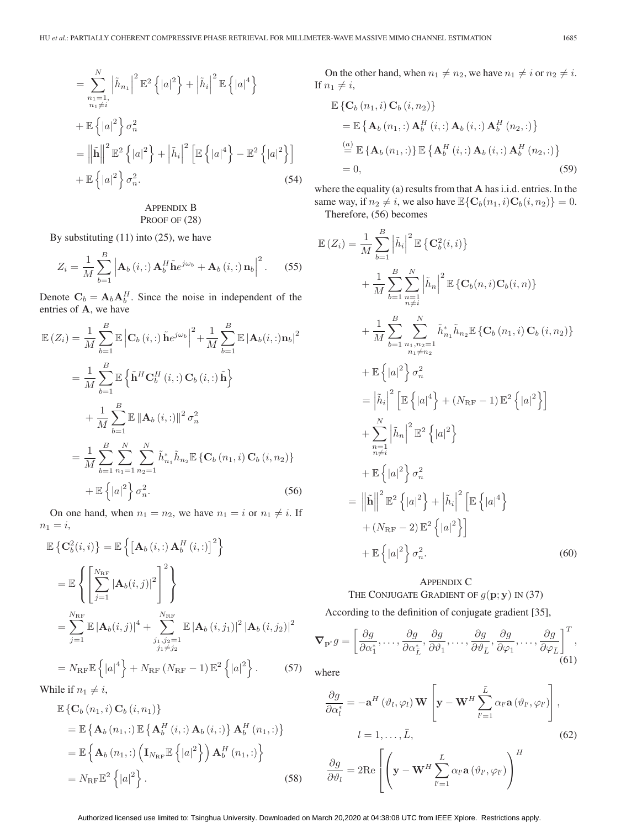$$
= \sum_{\substack{n_1=1,\\n_1\neq i}}^N \left| \tilde{h}_{n_1} \right|^2 \mathbb{E}^2 \left\{ |a|^2 \right\} + \left| \tilde{h}_i \right|^2 \mathbb{E} \left\{ |a|^4 \right\}
$$
  
+ 
$$
\mathbb{E} \left\{ |a|^2 \right\} \sigma_n^2
$$
  
= 
$$
\left\| \tilde{\mathbf{h}} \right\|^2 \mathbb{E}^2 \left\{ |a|^2 \right\} + \left| \tilde{h}_i \right|^2 \left[ \mathbb{E} \left\{ |a|^4 \right\} - \mathbb{E}^2 \left\{ |a|^2 \right\} \right]
$$
  
+ 
$$
\mathbb{E} \left\{ |a|^2 \right\} \sigma_n^2.
$$
 (54)

# APPENDIX B PROOF OF  $(28)$

By substituting  $(11)$  into  $(25)$ , we have

$$
Z_i = \frac{1}{M} \sum_{b=1}^{B} \left| \mathbf{A}_b(i,:) \, \mathbf{A}_b^H \tilde{\mathbf{h}} e^{j\omega_b} + \mathbf{A}_b(i,:) \, \mathbf{n}_b \right|^2. \tag{55}
$$

Denote  $C_b = A_b A_b^H$ . Since the noise in independent of the entries of **A**, we have

$$
\mathbb{E}\left(Z_{i}\right) = \frac{1}{M} \sum_{b=1}^{B} \mathbb{E}\left|\mathbf{C}_{b}\left(i,:\right)\tilde{\mathbf{h}}e^{j\omega_{b}}\right|^{2} + \frac{1}{M} \sum_{b=1}^{B} \mathbb{E}\left|\mathbf{A}_{b}\left(i,:\right)\mathbf{n}_{b}\right|^{2}
$$
\n
$$
= \frac{1}{M} \sum_{b=1}^{B} \mathbb{E}\left\{\tilde{\mathbf{h}}^{H}\mathbf{C}_{b}^{H}\left(i,:\right)\mathbf{C}_{b}\left(i,:\right)\tilde{\mathbf{h}}\right\}
$$
\n
$$
+ \frac{1}{M} \sum_{b=1}^{B} \mathbb{E}\left\|\mathbf{A}_{b}\left(i,:\right)\right\|^{2} \sigma_{n}^{2}
$$
\n
$$
= \frac{1}{M} \sum_{b=1}^{B} \sum_{n_{1}=1}^{N} \sum_{n_{2}=1}^{N} \tilde{h}_{n_{1}}^{*} \tilde{h}_{n_{2}} \mathbb{E}\left\{\mathbf{C}_{b}\left(n_{1},i\right)\mathbf{C}_{b}\left(i,n_{2}\right)\right\}
$$
\n
$$
+ \mathbb{E}\left\{\left|a\right|^{2}\right\} \sigma_{n}^{2}.
$$
\n(56)

On one hand, when  $n_1 = n_2$ , we have  $n_1 = i$  or  $n_1 \neq i$ . If  $n_1 = i$ ,

$$
\mathbb{E}\left\{C_b^2(i,i)\right\} = \mathbb{E}\left\{\left[\mathbf{A}_b(i,:)\mathbf{A}_b^H(i,:)\right]^2\right\}
$$
  
\n
$$
= \mathbb{E}\left\{\left[\sum_{j=1}^{N_{\text{RF}}} |\mathbf{A}_b(i,j)|^2\right]^2\right\}
$$
  
\n
$$
= \sum_{j=1}^{N_{\text{RF}}} \mathbb{E}|\mathbf{A}_b(i,j)|^4 + \sum_{\substack{j_1,j_2=1 \ j_1 \neq j_2}}^{N_{\text{RF}}} \mathbb{E}|\mathbf{A}_b(i,j_1)|^2 |\mathbf{A}_b(i,j_2)|^2
$$
  
\n
$$
= N_{\text{RF}} \mathbb{E}\left\{|a|^4\right\} + N_{\text{RF}} (N_{\text{RF}} - 1) \mathbb{E}^2\left\{|a|^2\right\}. \tag{57}
$$

While if  $n_1 \neq i$ ,

$$
\mathbb{E}\left\{ \mathbf{C}_{b} (n_{1}, i) \mathbf{C}_{b} (i, n_{1}) \right\} \n= \mathbb{E}\left\{ \mathbf{A}_{b} (n_{1}, i) \mathbb{E}\left\{ \mathbf{A}_{b}^{H} (i, i) \mathbf{A}_{b} (i, i) \right\} \mathbf{A}_{b}^{H} (n_{1}, i) \right\} \n= \mathbb{E}\left\{ \mathbf{A}_{b} (n_{1}, i) \left( \mathbf{I}_{N_{\mathrm{RF}}} \mathbb{E}\left\{ |a|^{2} \right\} \right) \mathbf{A}_{b}^{H} (n_{1}, i) \right\} \n= N_{\mathrm{RF}} \mathbb{E}^{2}\left\{ |a|^{2} \right\}.
$$
\n(58)

On the other hand, when  $n_1 \neq n_2$ , we have  $n_1 \neq i$  or  $n_2 \neq i$ . If  $n_1 \neq i$ ,

$$
\mathbb{E}\left\{ \mathbf{C}_{b} (n_{1}, i) \mathbf{C}_{b} (i, n_{2}) \right\} \n= \mathbb{E}\left\{ \mathbf{A}_{b} (n_{1}, i) \mathbf{A}_{b}^{H} (i, :) \mathbf{A}_{b} (i, :) \mathbf{A}_{b}^{H} (n_{2}, :) \right\} \n= \mathbb{E}\left\{ \mathbf{A}_{b} (n_{1}, :) \right\} \mathbb{E}\left\{ \mathbf{A}_{b}^{H} (i, :) \mathbf{A}_{b} (i, :) \mathbf{A}_{b}^{H} (n_{2}, :) \right\} \n= 0,
$$
\n(59)

where the equality (a) results from that **A** has i.i.d. entries. In the same way, if  $n_2 \neq i$ , we also have  $\mathbb{E}\{\mathbf{C}_b(n_1, i)\mathbf{C}_b(i, n_2)\} = 0$ . Therefore, (56) becomes

$$
\mathbb{E}\left(Z_{i}\right) = \frac{1}{M} \sum_{b=1}^{B} \left|\tilde{h}_{i}\right|^{2} \mathbb{E}\left\{ \mathbf{C}_{b}^{2}(i,i)\right\} \n+ \frac{1}{M} \sum_{b=1}^{B} \sum_{\substack{n=1 \\ n \neq i}}^{N} \left|\tilde{h}_{n}\right|^{2} \mathbb{E}\left\{ \mathbf{C}_{b}(n,i)\mathbf{C}_{b}(i,n)\right\} \n+ \frac{1}{M} \sum_{b=1}^{B} \sum_{\substack{n_{1},n_{2}=1 \\ n_{1} \neq n_{2}}}^{N} \tilde{h}_{n_{1}}^{*} \tilde{h}_{n_{2}} \mathbb{E}\left\{ \mathbf{C}_{b}\left(n_{1},i\right)\mathbf{C}_{b}\left(i,n_{2}\right)\right\} \n+ \mathbb{E}\left\{ \left|a\right|^{2} \right\} \sigma_{n}^{2} \n= \left|\tilde{h}_{i}\right|^{2} \left[\mathbb{E}\left\{ \left|a\right|^{4} \right\} + \left(N_{\mathrm{RF}} - 1\right)\mathbb{E}^{2}\left\{ \left|a\right|^{2} \right\} \right] \n+ \sum_{\substack{n=1 \\ n \neq i}}^{N} \left|\tilde{h}_{n}\right|^{2} \mathbb{E}^{2}\left\{ \left|a\right|^{2} \right\} \n+ \mathbb{E}\left\{ \left|a\right|^{2} \right\} \sigma_{n}^{2} \n= \left\| \tilde{h} \right\|^{2} \mathbb{E}^{2}\left\{ \left|a\right|^{2} \right\} + \left|\tilde{h}_{i}\right|^{2} \left[\mathbb{E}\left\{ \left|a\right|^{4} \right\} \n+ \left(N_{\mathrm{RF}} - 2\right)\mathbb{E}^{2}\left\{ \left|a\right|^{2} \right\} \right] \n+ \mathbb{E}\left\{ \left|a\right|^{2} \right\} \sigma_{n}^{2}.
$$
\n(60)

# APPENDIX C THE CONJUGATE GRADIENT OF  $g(\mathbf{p}; \mathbf{y})$  IN (37)

According to the definition of conjugate gradient [35],

$$
\nabla_{\mathbf{p}^*} g = \left[ \frac{\partial g}{\partial \alpha_1^*}, \dots, \frac{\partial g}{\partial \alpha_L^*}, \frac{\partial g}{\partial \vartheta_1}, \dots, \frac{\partial g}{\partial \vartheta_L}, \frac{\partial g}{\partial \varphi_1}, \dots, \frac{\partial g}{\partial \varphi_L} \right]^T, \tag{61}
$$

where

$$
\frac{\partial g}{\partial \alpha_l^*} = -\mathbf{a}^H (\vartheta_l, \varphi_l) \mathbf{W} \left[ \mathbf{y} - \mathbf{W}^H \sum_{l'=1}^{\bar{L}} \alpha_{l'} \mathbf{a} (\vartheta_{l'}, \varphi_{l'}) \right],
$$
  
\n
$$
l = 1, ..., \bar{L},
$$
  
\n
$$
\frac{\partial g}{\partial \vartheta_l} = 2 \text{Re} \left[ \left( \mathbf{y} - \mathbf{W}^H \sum_{l'=1}^{\bar{L}} \alpha_{l'} \mathbf{a} (\vartheta_{l'}, \varphi_{l'}) \right)^H \right]
$$
  
\n(62)

Authorized licensed use limited to: Tsinghua University. Downloaded on March 20,2020 at 04:38:08 UTC from IEEE Xplore. Restrictions apply.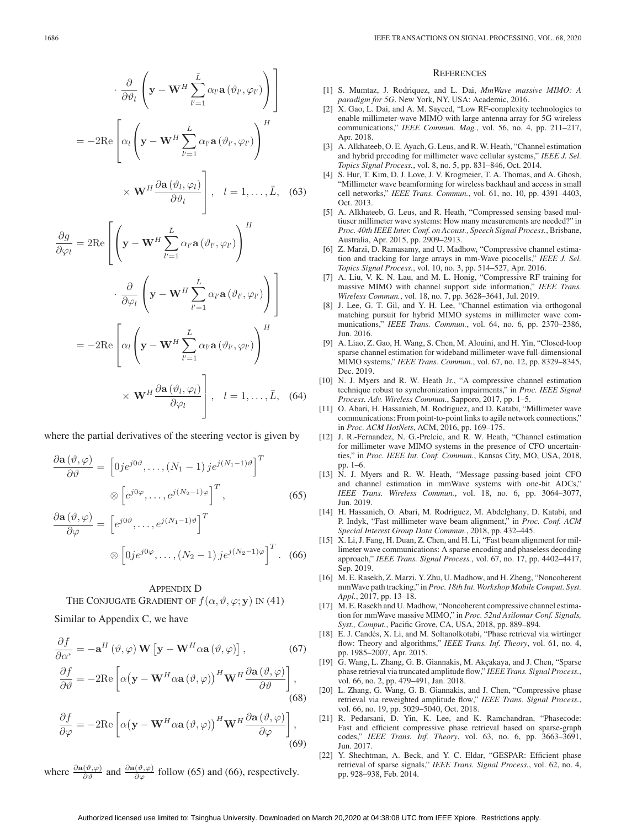$$
\frac{\partial}{\partial \theta_{l}} \left( \mathbf{y} - \mathbf{W}^{H} \sum_{l'=1}^{L} \alpha_{l'} \mathbf{a} \left( \vartheta_{l'}, \varphi_{l'} \right) \right)
$$

$$
= -2 \text{Re} \left[ \alpha_{l} \left( \mathbf{y} - \mathbf{W}^{H} \sum_{l'=1}^{L} \alpha_{l'} \mathbf{a} \left( \vartheta_{l'}, \varphi_{l'} \right) \right)^{H} \times \mathbf{W}^{H} \frac{\partial \mathbf{a} \left( \vartheta_{l}, \varphi_{l} \right)}{\partial \vartheta_{l}} \right], \quad l = 1, \dots, \bar{L}, \quad (63)
$$

$$
\frac{\partial g}{\partial \varphi_l} = 2 \text{Re} \left[ \left( \mathbf{y} - \mathbf{W}^H \sum_{l'=1}^{\bar{L}} \alpha_{l'} \mathbf{a} \left( \vartheta_{l'}, \varphi_{l'} \right) \right)^H \right]
$$

$$
\cdot \frac{\partial}{\partial \varphi_l} \left( \mathbf{y} - \mathbf{W}^H \sum_{l'=1}^{\bar{L}} \alpha_{l'} \mathbf{a} \left( \vartheta_{l'}, \varphi_{l'} \right) \right) \Bigg]
$$
  
= 
$$
-2 \text{Re} \left[ \alpha_l \left( \mathbf{y} - \mathbf{W}^H \sum_{l'=1}^{\bar{L}} \alpha_{l'} \mathbf{a} \left( \vartheta_{l'}, \varphi_{l'} \right) \right)^H
$$

$$
\times \mathbf{W}^H \frac{\partial \mathbf{a} \left( \vartheta_l, \varphi_l \right)}{\partial \varphi_l} \right], \quad l = 1, \dots, \bar{L}, \quad (64)
$$

where the partial derivatives of the steering vector is given by

$$
\frac{\partial \mathbf{a}(\vartheta, \varphi)}{\partial \vartheta} = \left[ 0j e^{j0\vartheta}, \dots, (N_1 - 1) j e^{j(N_1 - 1)\vartheta} \right]^T
$$

$$
\otimes \left[ e^{j0\varphi}, \dots, e^{j(N_2 - 1)\varphi} \right]^T, \tag{65}
$$

$$
\frac{\partial \mathbf{a}(\vartheta, \varphi)}{\partial \varphi} = \left[e^{j0\vartheta}, \dots, e^{j(N_1 - 1)\vartheta}\right]^T
$$

$$
\otimes \left[0j e^{j0\varphi}, \dots, (N_2 - 1) j e^{j(N_2 - 1)\varphi}\right]^T. \quad (66)
$$

APPENDIX D THE CONJUGATE GRADIENT OF  $f(\alpha, \vartheta, \varphi; \mathbf{y})$  IN (41)

Similar to Appendix C, we have

$$
\frac{\partial f}{\partial \alpha^*} = -\mathbf{a}^H \left( \vartheta, \varphi \right) \mathbf{W} \left[ \mathbf{y} - \mathbf{W}^H \alpha \mathbf{a} \left( \vartheta, \varphi \right) \right],\tag{67}
$$

$$
\frac{\partial f}{\partial \vartheta} = -2\text{Re}\left[\alpha(\mathbf{y} - \mathbf{W}^H \alpha \mathbf{a}(\vartheta, \varphi))^H \mathbf{W}^H \frac{\partial \mathbf{a}(\vartheta, \varphi)}{\partial \vartheta}\right],\tag{68}
$$

$$
\frac{\partial f}{\partial \varphi} = -2\text{Re}\left[\alpha(\mathbf{y} - \mathbf{W}^H \alpha \mathbf{a}(\vartheta, \varphi))^H \mathbf{W}^H \frac{\partial \mathbf{a}(\vartheta, \varphi)}{\partial \varphi}\right],\tag{69}
$$

where  $\frac{\partial \mathbf{a}(\vartheta, \varphi)}{\partial \vartheta}$  and  $\frac{\partial \mathbf{a}(\vartheta, \varphi)}{\partial \varphi}$  follow (65) and (66), respectively.

#### **REFERENCES**

- [1] S. Mumtaz, J. Rodriquez, and L. Dai, *MmWave massive MIMO: A paradigm for 5G*. New York, NY, USA: Academic, 2016.
- [2] X. Gao, L. Dai, and A. M. Sayeed, "Low RF-complexity technologies to enable millimeter-wave MIMO with large antenna array for 5G wireless communications," *IEEE Commun. Mag.*, vol. 56, no. 4, pp. 211–217, Apr. 2018.
- [3] A. Alkhateeb, O. E. Ayach, G. Leus, and R. W. Heath, "Channel estimation and hybrid precoding for millimeter wave cellular systems," *IEEE J. Sel. Topics Signal Process.*, vol. 8, no. 5, pp. 831–846, Oct. 2014.
- [4] S. Hur, T. Kim, D. J. Love, J. V. Krogmeier, T. A. Thomas, and A. Ghosh, "Millimeter wave beamforming for wireless backhaul and access in small cell networks," *IEEE Trans. Commun.*, vol. 61, no. 10, pp. 4391–4403, Oct. 2013.
- [5] A. Alkhateeb, G. Leus, and R. Heath, "Compressed sensing based multiuser millimeter wave systems: How many measurements are needed?" in *Proc. 40th IEEE Inter. Conf. on Acoust., Speech Signal Process.*, Brisbane, Australia, Apr. 2015, pp. 2909–2913.
- [6] Z. Marzi, D. Ramasamy, and U. Madhow, "Compressive channel estimation and tracking for large arrays in mm-Wave picocells," *IEEE J. Sel. Topics Signal Process.*, vol. 10, no. 3, pp. 514–527, Apr. 2016.
- [7] A. Liu, V. K. N. Lau, and M. L. Honig, "Compressive RF training for massive MIMO with channel support side information," *IEEE Trans. Wireless Commun.*, vol. 18, no. 7, pp. 3628–3641, Jul. 2019.
- [8] J. Lee, G. T. Gil, and Y. H. Lee, "Channel estimation via orthogonal matching pursuit for hybrid MIMO systems in millimeter wave communications," *IEEE Trans. Commun.*, vol. 64, no. 6, pp. 2370–2386, Jun. 2016.
- [9] A. Liao, Z. Gao, H. Wang, S. Chen, M. Alouini, and H. Yin, "Closed-loop sparse channel estimation for wideband millimeter-wave full-dimensional MIMO systems," *IEEE Trans. Commun.*, vol. 67, no. 12, pp. 8329–8345, Dec. 2019.
- [10] N. J. Myers and R. W. Heath Jr., "A compressive channel estimation technique robust to synchronization impairments," in *Proc. IEEE Signal Process. Adv. Wireless Commun.*, Sapporo, 2017, pp. 1–5.
- [11] O. Abari, H. Hassanieh, M. Rodriguez, and D. Katabi, "Millimeter wave communications: From point-to-point links to agile network connections," in *Proc. ACM HotNets*, ACM, 2016, pp. 169–175.
- [12] J. R.-Fernandez, N. G.-Prelcic, and R. W. Heath, "Channel estimation for millimeter wave MIMO systems in the presence of CFO uncertainties," in *Proc. IEEE Int. Conf. Commun.*, Kansas City, MO, USA, 2018, pp. 1–6.
- [13] N. J. Myers and R. W. Heath, "Message passing-based joint CFO and channel estimation in mmWave systems with one-bit ADCs," *IEEE Trans. Wireless Commun.*, vol. 18, no. 6, pp. 3064–3077, Jun. 2019.
- [14] H. Hassanieh, O. Abari, M. Rodriguez, M. Abdelghany, D. Katabi, and P. Indyk, "Fast millimeter wave beam alignment," in *Proc. Conf. ACM Special Interest Group Data Commun.*, 2018, pp. 432–445.
- [15] X. Li, J. Fang, H. Duan, Z. Chen, and H. Li, "Fast beam alignment for millimeter wave communications: A sparse encoding and phaseless decoding approach," *IEEE Trans. Signal Process.*, vol. 67, no. 17, pp. 4402–4417, Sep. 2019.
- [16] M. E. Rasekh, Z. Marzi, Y. Zhu, U. Madhow, and H. Zheng, "Noncoherent mmWave path tracking," in *Proc. 18th Int. Workshop Mobile Comput. Syst. Appl.*, 2017, pp. 13–18.
- [17] M. E. Rasekh and U. Madhow, "Noncoherent compressive channel estimation for mmWave massive MIMO," in *Proc. 52nd Asilomar Conf. Signals, Syst., Comput.*, Pacific Grove, CA, USA, 2018, pp. 889–894.
- [18] E. J. Candės, X. Li, and M. Soltanolkotabi, "Phase retrieval via wirtinger flow: Theory and algorithms," *IEEE Trans. Inf. Theory*, vol. 61, no. 4, pp. 1985–2007, Apr. 2015.
- [19] G. Wang, L. Zhang, G. B. Giannakis, M. Akçakaya, and J. Chen, "Sparse phase retrieval via truncated amplitude flow," *IEEE Trans. Signal Process.*, vol. 66, no. 2, pp. 479–491, Jan. 2018.
- [20] L. Zhang, G. Wang, G. B. Giannakis, and J. Chen, "Compressive phase retrieval via reweighted amplitude flow," *IEEE Trans. Signal Process.*, vol. 66, no. 19, pp. 5029–5040, Oct. 2018.
- [21] R. Pedarsani, D. Yin, K. Lee, and K. Ramchandran, "Phasecode: Fast and efficient compressive phase retrieval based on sparse-graph codes," *IEEE Trans. Inf. Theory*, vol. 63, no. 6, pp. 3663–3691, Jun. 2017.
- [22] Y. Shechtman, A. Beck, and Y. C. Eldar, "GESPAR: Efficient phase retrieval of sparse signals," *IEEE Trans. Signal Process.*, vol. 62, no. 4, pp. 928–938, Feb. 2014.